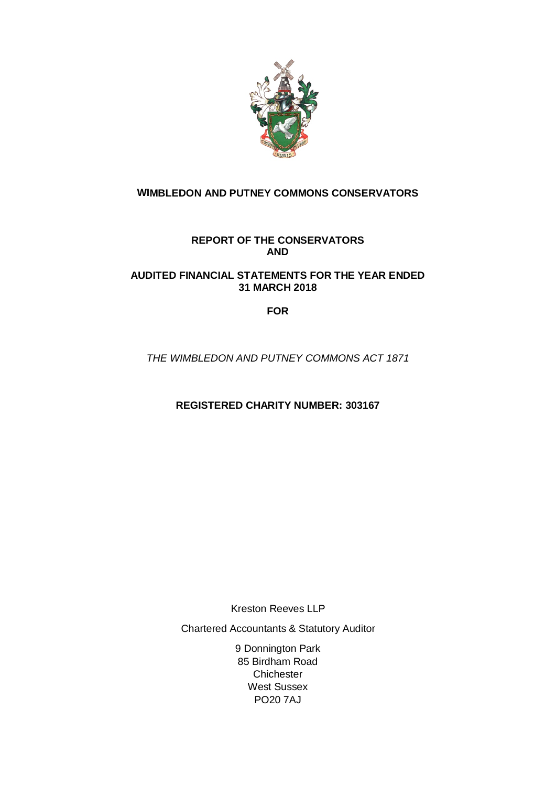

# **WIMBLEDON AND PUTNEY COMMONS CONSERVATORS**

# **REPORT OF THE CONSERVATORS AND**

# **AUDITED FINANCIAL STATEMENTS FOR THE YEAR ENDED 31 MARCH 2018**

# **FOR**

THE WIMBLEDON AND PUTNEY COMMONS ACT 1871

**REGISTERED CHARITY NUMBER: 303167**

Kreston Reeves LLP

Chartered Accountants & Statutory Auditor

9 Donnington Park 85 Birdham Road **Chichester** West Sussex PO20 7AJ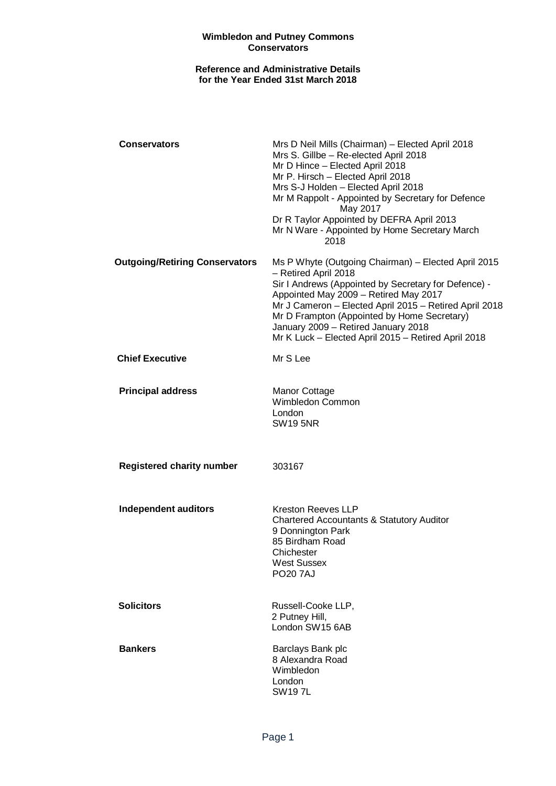## **Reference and Administrative Details for the Year Ended 31st March 2018**

| <b>Conservators</b>                   | Mrs D Neil Mills (Chairman) - Elected April 2018<br>Mrs S. Gillbe - Re-elected April 2018<br>Mr D Hince - Elected April 2018<br>Mr P. Hirsch - Elected April 2018<br>Mrs S-J Holden - Elected April 2018<br>Mr M Rappolt - Appointed by Secretary for Defence<br>May 2017<br>Dr R Taylor Appointed by DEFRA April 2013<br>Mr N Ware - Appointed by Home Secretary March<br>2018     |
|---------------------------------------|-------------------------------------------------------------------------------------------------------------------------------------------------------------------------------------------------------------------------------------------------------------------------------------------------------------------------------------------------------------------------------------|
| <b>Outgoing/Retiring Conservators</b> | Ms P Whyte (Outgoing Chairman) - Elected April 2015<br>- Retired April 2018<br>Sir I Andrews (Appointed by Secretary for Defence) -<br>Appointed May 2009 - Retired May 2017<br>Mr J Cameron - Elected April 2015 - Retired April 2018<br>Mr D Frampton (Appointed by Home Secretary)<br>January 2009 - Retired January 2018<br>Mr K Luck - Elected April 2015 - Retired April 2018 |
| <b>Chief Executive</b>                | Mr S Lee                                                                                                                                                                                                                                                                                                                                                                            |
| <b>Principal address</b>              | Manor Cottage<br>Wimbledon Common<br>London<br><b>SW19 5NR</b>                                                                                                                                                                                                                                                                                                                      |
| <b>Registered charity number</b>      | 303167                                                                                                                                                                                                                                                                                                                                                                              |
| <b>Independent auditors</b>           | <b>Kreston Reeves LLP</b><br><b>Chartered Accountants &amp; Statutory Auditor</b><br>9 Donnington Park<br>85 Birdham Road<br>Chichester<br><b>West Sussex</b><br><b>PO20 7AJ</b>                                                                                                                                                                                                    |
| <b>Solicitors</b>                     | Russell-Cooke LLP,<br>2 Putney Hill,<br>London SW15 6AB                                                                                                                                                                                                                                                                                                                             |
| <b>Bankers</b>                        | Barclays Bank plc<br>8 Alexandra Road<br>Wimbledon<br>London<br><b>SW197L</b>                                                                                                                                                                                                                                                                                                       |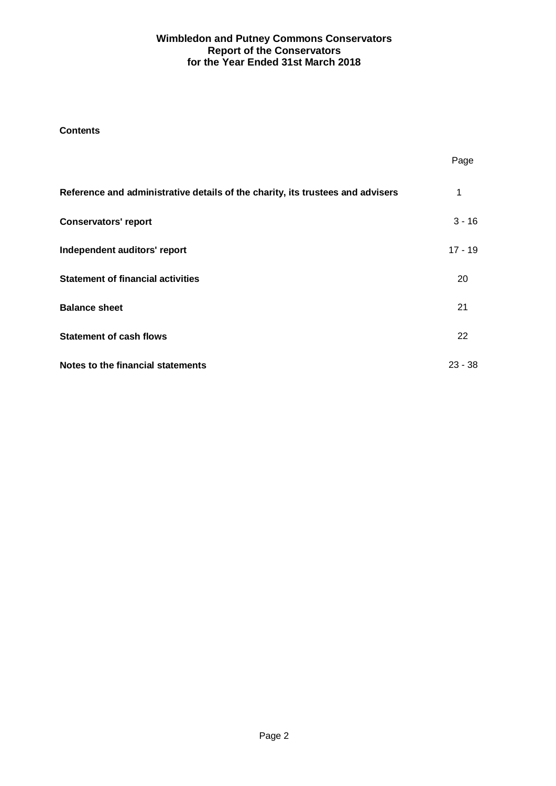## **Contents**

|                                                                                | Page      |
|--------------------------------------------------------------------------------|-----------|
| Reference and administrative details of the charity, its trustees and advisers | 1         |
| <b>Conservators' report</b>                                                    | $3 - 16$  |
| Independent auditors' report                                                   | $17 - 19$ |
| <b>Statement of financial activities</b>                                       | 20        |
| <b>Balance sheet</b>                                                           | 21        |
| <b>Statement of cash flows</b>                                                 | 22        |
| Notes to the financial statements                                              | $23 - 38$ |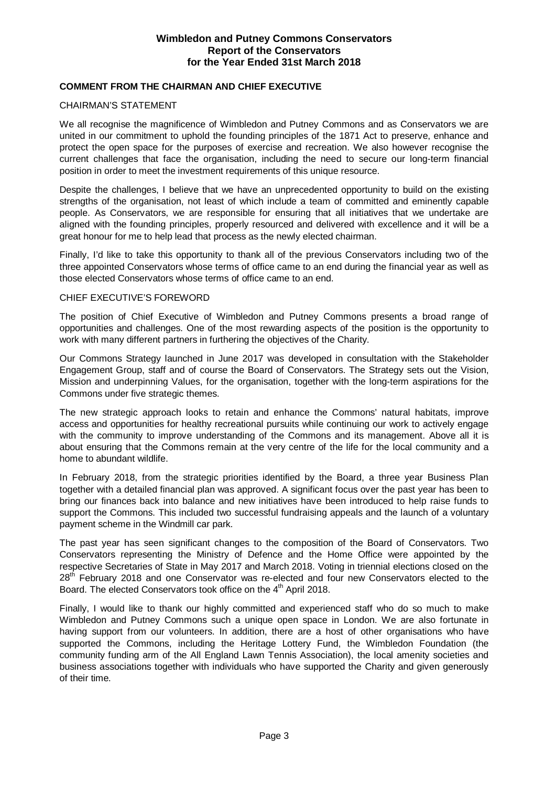## **COMMENT FROM THE CHAIRMAN AND CHIEF EXECUTIVE**

#### CHAIRMAN'S STATEMENT

We all recognise the magnificence of Wimbledon and Putney Commons and as Conservators we are united in our commitment to uphold the founding principles of the 1871 Act to preserve, enhance and protect the open space for the purposes of exercise and recreation. We also however recognise the current challenges that face the organisation, including the need to secure our long-term financial position in order to meet the investment requirements of this unique resource.

Despite the challenges, I believe that we have an unprecedented opportunity to build on the existing strengths of the organisation, not least of which include a team of committed and eminently capable people. As Conservators, we are responsible for ensuring that all initiatives that we undertake are aligned with the founding principles, properly resourced and delivered with excellence and it will be a great honour for me to help lead that process as the newly elected chairman.

Finally, I'd like to take this opportunity to thank all of the previous Conservators including two of the three appointed Conservators whose terms of office came to an end during the financial year as well as those elected Conservators whose terms of office came to an end.

## CHIEF EXECUTIVE'S FOREWORD

The position of Chief Executive of Wimbledon and Putney Commons presents a broad range of opportunities and challenges. One of the most rewarding aspects of the position is the opportunity to work with many different partners in furthering the objectives of the Charity.

Our Commons Strategy launched in June 2017 was developed in consultation with the Stakeholder Engagement Group, staff and of course the Board of Conservators. The Strategy sets out the Vision, Mission and underpinning Values, for the organisation, together with the long-term aspirations for the Commons under five strategic themes.

The new strategic approach looks to retain and enhance the Commons' natural habitats, improve access and opportunities for healthy recreational pursuits while continuing our work to actively engage with the community to improve understanding of the Commons and its management. Above all it is about ensuring that the Commons remain at the very centre of the life for the local community and a home to abundant wildlife.

In February 2018, from the strategic priorities identified by the Board, a three year Business Plan together with a detailed financial plan was approved. A significant focus over the past year has been to bring our finances back into balance and new initiatives have been introduced to help raise funds to support the Commons. This included two successful fundraising appeals and the launch of a voluntary payment scheme in the Windmill car park.

The past year has seen significant changes to the composition of the Board of Conservators. Two Conservators representing the Ministry of Defence and the Home Office were appointed by the respective Secretaries of State in May 2017 and March 2018. Voting in triennial elections closed on the 28<sup>th</sup> February 2018 and one Conservator was re-elected and four new Conservators elected to the Board. The elected Conservators took office on the 4<sup>th</sup> April 2018.

Finally, I would like to thank our highly committed and experienced staff who do so much to make Wimbledon and Putney Commons such a unique open space in London. We are also fortunate in having support from our volunteers. In addition, there are a host of other organisations who have supported the Commons, including the Heritage Lottery Fund, the Wimbledon Foundation (the community funding arm of the All England Lawn Tennis Association), the local amenity societies and business associations together with individuals who have supported the Charity and given generously of their time.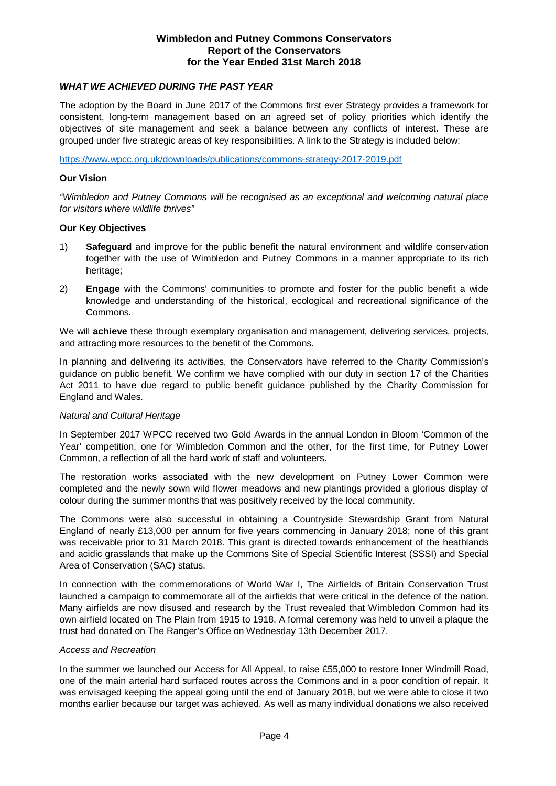## **WHAT WE ACHIEVED DURING THE PAST YEAR**

The adoption by the Board in June 2017 of the Commons first ever Strategy provides a framework for consistent, long-term management based on an agreed set of policy priorities which identify the objectives of site management and seek a balance between any conflicts of interest. These are grouped under five strategic areas of key responsibilities. A link to the Strategy is included below:

https://www.wpcc.org.uk/downloads/publications/commons-strategy-2017-2019.pdf

#### **Our Vision**

"Wimbledon and Putney Commons will be recognised as an exceptional and welcoming natural place for visitors where wildlife thrives"

#### **Our Key Objectives**

- 1) **Safeguard** and improve for the public benefit the natural environment and wildlife conservation together with the use of Wimbledon and Putney Commons in a manner appropriate to its rich heritage;
- 2) **Engage** with the Commons' communities to promote and foster for the public benefit a wide knowledge and understanding of the historical, ecological and recreational significance of the Commons.

We will **achieve** these through exemplary organisation and management, delivering services, projects, and attracting more resources to the benefit of the Commons.

In planning and delivering its activities, the Conservators have referred to the Charity Commission's guidance on public benefit. We confirm we have complied with our duty in section 17 of the Charities Act 2011 to have due regard to public benefit guidance published by the Charity Commission for England and Wales.

## Natural and Cultural Heritage

In September 2017 WPCC received two Gold Awards in the annual London in Bloom 'Common of the Year' competition, one for Wimbledon Common and the other, for the first time, for Putney Lower Common, a reflection of all the hard work of staff and volunteers.

The restoration works associated with the new development on Putney Lower Common were completed and the newly sown wild flower meadows and new plantings provided a glorious display of colour during the summer months that was positively received by the local community.

The Commons were also successful in obtaining a Countryside Stewardship Grant from Natural England of nearly £13,000 per annum for five years commencing in January 2018; none of this grant was receivable prior to 31 March 2018. This grant is directed towards enhancement of the heathlands and acidic grasslands that make up the Commons Site of Special Scientific Interest (SSSI) and Special Area of Conservation (SAC) status.

In connection with the commemorations of World War I, The Airfields of Britain Conservation Trust launched a campaign to commemorate all of the airfields that were critical in the defence of the nation. Many airfields are now disused and research by the Trust revealed that Wimbledon Common had its own airfield located on The Plain from 1915 to 1918. A formal ceremony was held to unveil a plaque the trust had donated on The Ranger's Office on Wednesday 13th December 2017.

## Access and Recreation

In the summer we launched our Access for All Appeal, to raise £55,000 to restore Inner Windmill Road, one of the main arterial hard surfaced routes across the Commons and in a poor condition of repair. It was envisaged keeping the appeal going until the end of January 2018, but we were able to close it two months earlier because our target was achieved. As well as many individual donations we also received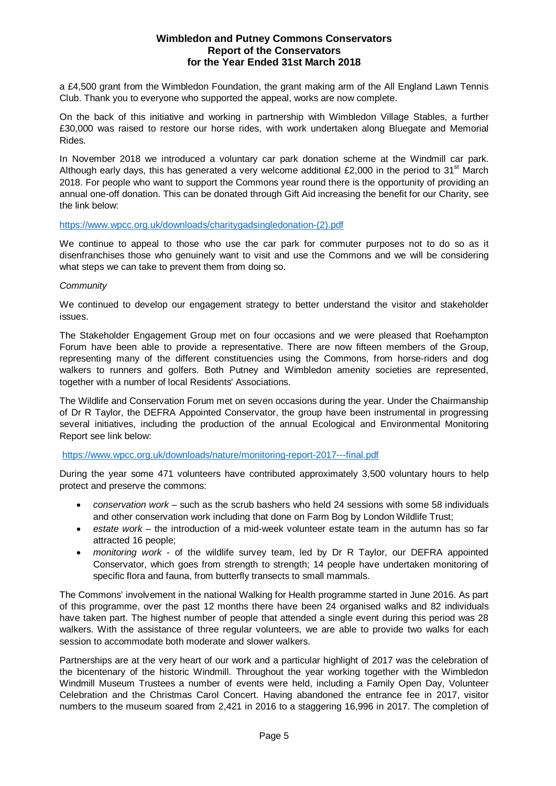a £4,500 grant from the Wimbledon Foundation, the grant making arm of the All England Lawn Tennis Club. Thank you to everyone who supported the appeal, works are now complete.

On the back of this initiative and working in partnership with Wimbledon Village Stables, a further £30,000 was raised to restore our horse rides, with work undertaken along Bluegate and Memorial Rides.

In November 2018 we introduced a voluntary car park donation scheme at the Windmill car park. Although early days, this has generated a very welcome additional  $£2,000$  in the period to  $31<sup>st</sup>$  March 2018. For people who want to support the Commons year round there is the opportunity of providing an annual one-off donation. This can be donated through Gift Aid increasing the benefit for our Charity, see the link below:

## https://www.wpcc.org.uk/downloads/charitygadsingledonation-(2).pdf

We continue to appeal to those who use the car park for commuter purposes not to do so as it disenfranchises those who genuinely want to visit and use the Commons and we will be considering what steps we can take to prevent them from doing so.

#### **Community**

We continued to develop our engagement strategy to better understand the visitor and stakeholder issues.

The Stakeholder Engagement Group met on four occasions and we were pleased that Roehampton Forum have been able to provide a representative. There are now fifteen members of the Group, representing many of the different constituencies using the Commons, from horse-riders and dog walkers to runners and golfers. Both Putney and Wimbledon amenity societies are represented, together with a number of local Residents' Associations.

The Wildlife and Conservation Forum met on seven occasions during the year. Under the Chairmanship of Dr R Taylor, the DEFRA Appointed Conservator, the group have been instrumental in progressing several initiatives, including the production of the annual Ecological and Environmental Monitoring Report see link below:

## https://www.wpcc.org.uk/downloads/nature/monitoring-report-2017---final.pdf

During the year some 471 volunteers have contributed approximately 3,500 voluntary hours to help protect and preserve the commons:

- $conservation$  work such as the scrub bashers who held 24 sessions with some 58 individuals and other conservation work including that done on Farm Bog by London Wildlife Trust;
- $e$ state work the introduction of a mid-week volunteer estate team in the autumn has so far attracted 16 people;
- monitoring work of the wildlife survey team, led by Dr R Taylor, our DEFRA appointed Conservator, which goes from strength to strength; 14 people have undertaken monitoring of specific flora and fauna, from butterfly transects to small mammals.

The Commons' involvement in the national Walking for Health programme started in June 2016. As part of this programme, over the past 12 months there have been 24 organised walks and 82 individuals have taken part. The highest number of people that attended a single event during this period was 28 walkers. With the assistance of three regular volunteers, we are able to provide two walks for each session to accommodate both moderate and slower walkers.

Partnerships are at the very heart of our work and a particular highlight of 2017 was the celebration of the bicentenary of the historic Windmill. Throughout the year working together with the Wimbledon Windmill Museum Trustees a number of events were held, including a Family Open Day, Volunteer Celebration and the Christmas Carol Concert. Having abandoned the entrance fee in 2017, visitor numbers to the museum soared from 2,421 in 2016 to a staggering 16,996 in 2017. The completion of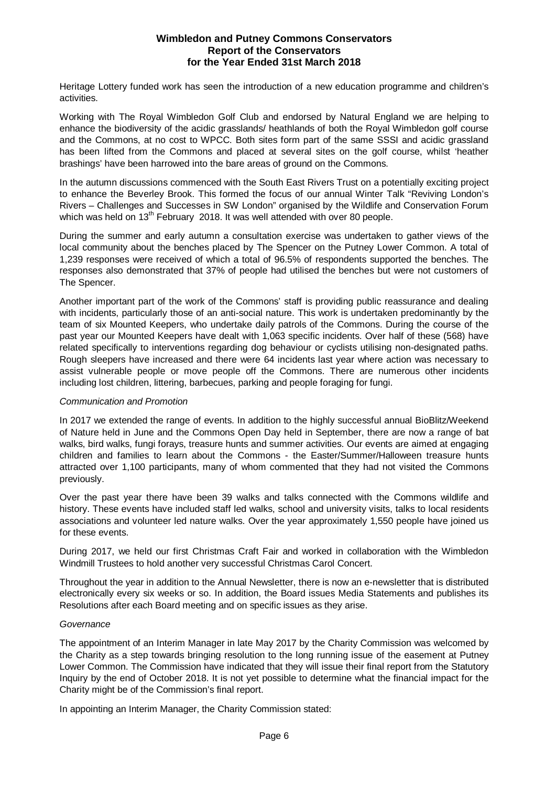Heritage Lottery funded work has seen the introduction of a new education programme and children's activities.

Working with The Royal Wimbledon Golf Club and endorsed by Natural England we are helping to enhance the biodiversity of the acidic grasslands/ heathlands of both the Royal Wimbledon golf course and the Commons, at no cost to WPCC. Both sites form part of the same SSSI and acidic grassland has been lifted from the Commons and placed at several sites on the golf course, whilst 'heather brashings' have been harrowed into the bare areas of ground on the Commons.

In the autumn discussions commenced with the South East Rivers Trust on a potentially exciting project to enhance the Beverley Brook. This formed the focus of our annual Winter Talk "Reviving London's Rivers – Challenges and Successes in SW London" organised by the Wildlife and Conservation Forum which was held on 13<sup>th</sup> February 2018. It was well attended with over 80 people.

During the summer and early autumn a consultation exercise was undertaken to gather views of the local community about the benches placed by The Spencer on the Putney Lower Common. A total of 1,239 responses were received of which a total of 96.5% of respondents supported the benches. The responses also demonstrated that 37% of people had utilised the benches but were not customers of The Spencer.

Another important part of the work of the Commons' staff is providing public reassurance and dealing with incidents, particularly those of an anti-social nature. This work is undertaken predominantly by the team of six Mounted Keepers, who undertake daily patrols of the Commons. During the course of the past year our Mounted Keepers have dealt with 1,063 specific incidents. Over half of these (568) have related specifically to interventions regarding dog behaviour or cyclists utilising non-designated paths. Rough sleepers have increased and there were 64 incidents last year where action was necessary to assist vulnerable people or move people off the Commons. There are numerous other incidents including lost children, littering, barbecues, parking and people foraging for fungi.

## Communication and Promotion

In 2017 we extended the range of events. In addition to the highly successful annual BioBlitz/Weekend of Nature held in June and the Commons Open Day held in September, there are now a range of bat walks, bird walks, fungi forays, treasure hunts and summer activities. Our events are aimed at engaging children and families to learn about the Commons - the Easter/Summer/Halloween treasure hunts attracted over 1,100 participants, many of whom commented that they had not visited the Commons previously.

Over the past year there have been 39 walks and talks connected with the Commons wildlife and history. These events have included staff led walks, school and university visits, talks to local residents associations and volunteer led nature walks. Over the year approximately 1,550 people have joined us for these events.

During 2017, we held our first Christmas Craft Fair and worked in collaboration with the Wimbledon Windmill Trustees to hold another very successful Christmas Carol Concert.

Throughout the year in addition to the Annual Newsletter, there is now an e-newsletter that is distributed electronically every six weeks or so. In addition, the Board issues Media Statements and publishes its Resolutions after each Board meeting and on specific issues as they arise.

#### **Governance**

The appointment of an Interim Manager in late May 2017 by the Charity Commission was welcomed by the Charity as a step towards bringing resolution to the long running issue of the easement at Putney Lower Common. The Commission have indicated that they will issue their final report from the Statutory Inquiry by the end of October 2018. It is not yet possible to determine what the financial impact for the Charity might be of the Commission's final report.

In appointing an Interim Manager, the Charity Commission stated: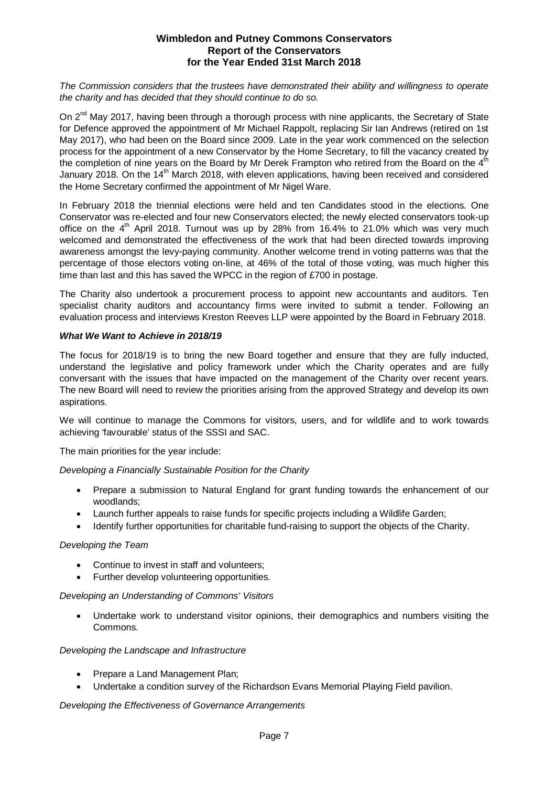The Commission considers that the trustees have demonstrated their ability and willingness to operate the charity and has decided that they should continue to do so.

On 2<sup>nd</sup> May 2017, having been through a thorough process with nine applicants, the Secretary of State for Defence approved the appointment of Mr Michael Rappolt, replacing Sir Ian Andrews (retired on 1st May 2017), who had been on the Board since 2009. Late in the year work commenced on the selection process for the appointment of a new Conservator by the Home Secretary, to fill the vacancy created by the completion of nine years on the Board by Mr Derek Frampton who retired from the Board on the  $4<sup>th</sup>$ January 2018. On the 14<sup>th</sup> March 2018, with eleven applications, having been received and considered the Home Secretary confirmed the appointment of Mr Nigel Ware.

In February 2018 the triennial elections were held and ten Candidates stood in the elections. One Conservator was re-elected and four new Conservators elected; the newly elected conservators took-up office on the  $4<sup>th</sup>$  April 2018. Turnout was up by 28% from 16.4% to 21.0% which was very much welcomed and demonstrated the effectiveness of the work that had been directed towards improving awareness amongst the levy-paying community. Another welcome trend in voting patterns was that the percentage of those electors voting on-line, at 46% of the total of those voting, was much higher this time than last and this has saved the WPCC in the region of £700 in postage.

The Charity also undertook a procurement process to appoint new accountants and auditors. Ten specialist charity auditors and accountancy firms were invited to submit a tender. Following an evaluation process and interviews Kreston Reeves LLP were appointed by the Board in February 2018.

## **What We Want to Achieve in 2018/19**

The focus for 2018/19 is to bring the new Board together and ensure that they are fully inducted, understand the legislative and policy framework under which the Charity operates and are fully conversant with the issues that have impacted on the management of the Charity over recent years. The new Board will need to review the priorities arising from the approved Strategy and develop its own aspirations.

We will continue to manage the Commons for visitors, users, and for wildlife and to work towards achieving 'favourable' status of the SSSI and SAC.

The main priorities for the year include:

Developing a Financially Sustainable Position for the Charity

- � Prepare a submission to Natural England for grant funding towards the enhancement of our woodlands;
- Launch further appeals to raise funds for specific projects including a Wildlife Garden;
- � Identify further opportunities for charitable fund-raising to support the objects of the Charity.

## Developing the Team

- Continue to invest in staff and volunteers;
- Further develop volunteering opportunities.

## Developing an Understanding of Commons' Visitors

� Undertake work to understand visitor opinions, their demographics and numbers visiting the Commons.

## Developing the Landscape and Infrastructure

- Prepare a Land Management Plan;
- � Undertake a condition survey of the Richardson Evans Memorial Playing Field pavilion.

## Developing the Effectiveness of Governance Arrangements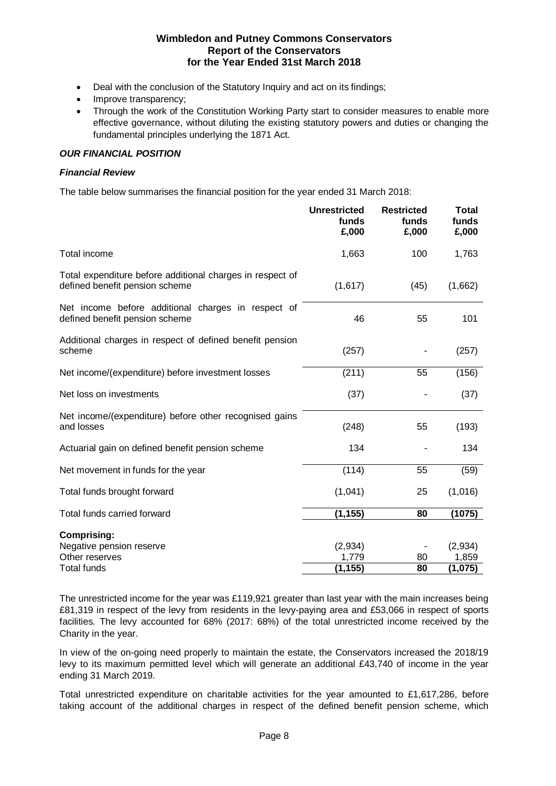- Deal with the conclusion of the Statutory Inquiry and act on its findings;
- Improve transparency:
- Through the work of the Constitution Working Party start to consider measures to enable more effective governance, without diluting the existing statutory powers and duties or changing the fundamental principles underlying the 1871 Act.

## **OUR FINANCIAL POSITION**

## **Financial Review**

The table below summarises the financial position for the year ended 31 March 2018:

|                                                                                             | <b>Unrestricted</b><br>funds<br>£,000 | <b>Restricted</b><br>funds<br>£,000 | <b>Total</b><br>funds<br>£,000 |
|---------------------------------------------------------------------------------------------|---------------------------------------|-------------------------------------|--------------------------------|
| Total income                                                                                | 1,663                                 | 100                                 | 1,763                          |
| Total expenditure before additional charges in respect of<br>defined benefit pension scheme | (1,617)                               | (45)                                | (1,662)                        |
| Net income before additional charges in respect of<br>defined benefit pension scheme        | 46                                    | 55                                  | 101                            |
| Additional charges in respect of defined benefit pension<br>scheme                          | (257)                                 |                                     | (257)                          |
| Net income/(expenditure) before investment losses                                           | (211)                                 | 55                                  | (156)                          |
| Net loss on investments                                                                     | (37)                                  |                                     | (37)                           |
| Net income/(expenditure) before other recognised gains<br>and losses                        | (248)                                 | 55                                  | (193)                          |
| Actuarial gain on defined benefit pension scheme                                            | 134                                   |                                     | 134                            |
| Net movement in funds for the year                                                          | (114)                                 | 55                                  | (59)                           |
| Total funds brought forward                                                                 | (1,041)                               | 25                                  | (1,016)                        |
| Total funds carried forward                                                                 | (1, 155)                              | 80                                  | (1075)                         |
| <b>Comprising:</b>                                                                          |                                       |                                     |                                |
| Negative pension reserve<br>Other reserves                                                  | (2,934)<br>1,779                      | 80                                  | (2,934)<br>1,859               |
| Total funds                                                                                 | (1, 155)                              | 80                                  | (1,075)                        |

The unrestricted income for the year was £119,921 greater than last year with the main increases being £81,319 in respect of the levy from residents in the levy-paying area and £53,066 in respect of sports facilities. The levy accounted for 68% (2017: 68%) of the total unrestricted income received by the Charity in the year.

In view of the on-going need properly to maintain the estate, the Conservators increased the 2018/19 levy to its maximum permitted level which will generate an additional £43,740 of income in the year ending 31 March 2019.

Total unrestricted expenditure on charitable activities for the year amounted to £1,617,286, before taking account of the additional charges in respect of the defined benefit pension scheme, which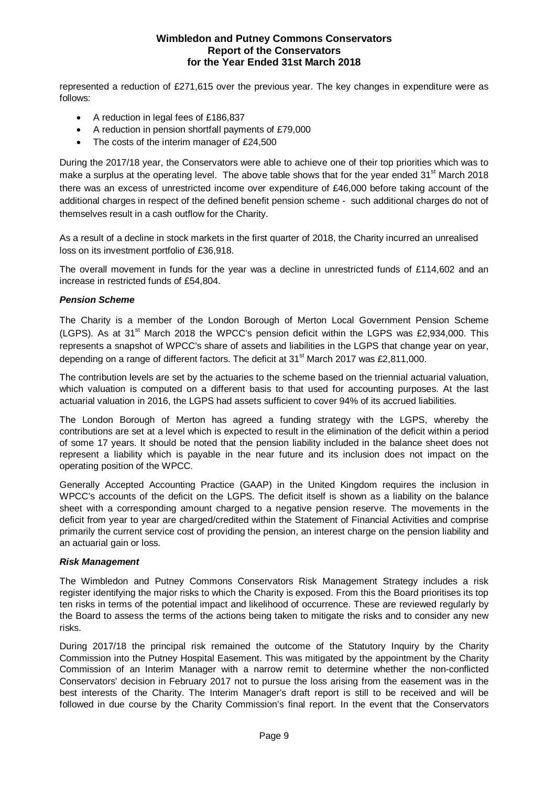represented a reduction of £271,615 over the previous year. The key changes in expenditure were as follows:

- A reduction in legal fees of £186,837
- � A reduction in pension shortfall payments of £79,000
- The costs of the interim manager of £24,500

During the 2017/18 year, the Conservators were able to achieve one of their top priorities which was to make a surplus at the operating level. The above table shows that for the year ended  $31<sup>st</sup>$  March 2018 there was an excess of unrestricted income over expenditure of £46,000 before taking account of the additional charges in respect of the defined benefit pension scheme - such additional charges do not of themselves result in a cash outflow for the Charity.

As a result of a decline in stock markets in the first quarter of 2018, the Charity incurred an unrealised loss on its investment portfolio of £36,918.

The overall movement in funds for the year was a decline in unrestricted funds of £114,602 and an increase in restricted funds of £54,804.

## **Pension Scheme**

The Charity is a member of the London Borough of Merton Local Government Pension Scheme (LGPS). As at 31<sup>st</sup> March 2018 the WPCC's pension deficit within the LGPS was £2,934,000. This represents a snapshot of WPCC's share of assets and liabilities in the LGPS that change year on year, depending on a range of different factors. The deficit at  $31<sup>st</sup>$  March 2017 was £2,811,000.

The contribution levels are set by the actuaries to the scheme based on the triennial actuarial valuation, which valuation is computed on a different basis to that used for accounting purposes. At the last actuarial valuation in 2016, the LGPS had assets sufficient to cover 94% of its accrued liabilities.

The London Borough of Merton has agreed a funding strategy with the LGPS, whereby the contributions are set at a level which is expected to result in the elimination of the deficit within a period of some 17 years. It should be noted that the pension liability included in the balance sheet does not represent a liability which is payable in the near future and its inclusion does not impact on the operating position of the WPCC.

Generally Accepted Accounting Practice (GAAP) in the United Kingdom requires the inclusion in WPCC's accounts of the deficit on the LGPS. The deficit itself is shown as a liability on the balance sheet with a corresponding amount charged to a negative pension reserve. The movements in the deficit from year to year are charged/credited within the Statement of Financial Activities and comprise primarily the current service cost of providing the pension, an interest charge on the pension liability and an actuarial gain or loss.

## **Risk Management**

The Wimbledon and Putney Commons Conservators Risk Management Strategy includes a risk register identifying the major risks to which the Charity is exposed. From this the Board prioritises its top ten risks in terms of the potential impact and likelihood of occurrence. These are reviewed regularly by the Board to assess the terms of the actions being taken to mitigate the risks and to consider any new risks.

During 2017/18 the principal risk remained the outcome of the Statutory Inquiry by the Charity Commission into the Putney Hospital Easement. This was mitigated by the appointment by the Charity Commission of an Interim Manager with a narrow remit to determine whether the non-conflicted Conservators' decision in February 2017 not to pursue the loss arising from the easement was in the best interests of the Charity. The Interim Manager's draft report is still to be received and will be followed in due course by the Charity Commission's final report. In the event that the Conservators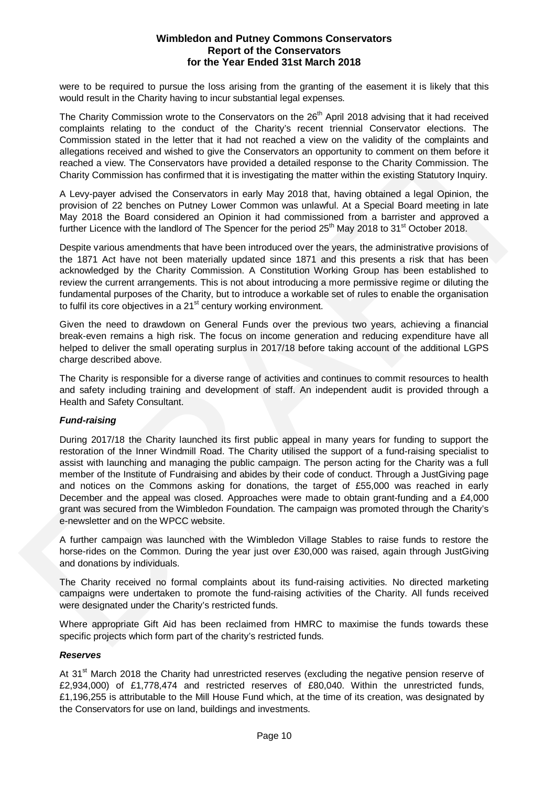were to be required to pursue the loss arising from the granting of the easement it is likely that this would result in the Charity having to incur substantial legal expenses.

The Charity Commission wrote to the Conservators on the 26<sup>th</sup> April 2018 advising that it had received complaints relating to the conduct of the Charity's recent triennial Conservator elections. The Commission stated in the letter that it had not reached a view on the validity of the complaints and allegations received and wished to give the Conservators an opportunity to comment on them before it reached a view. The Conservators have provided a detailed response to the Charity Commission. The Charity Commission has confirmed that it is investigating the matter within the existing Statutory Inquiry.

A Levy-payer advised the Conservators in early May 2018 that, having obtained a legal Opinion, the provision of 22 benches on Putney Lower Common was unlawful. At a Special Board meeting in late May 2018 the Board considered an Opinion it had commissioned from a barrister and approved a further Licence with the landlord of The Spencer for the period  $25<sup>th</sup>$  May 2018 to 31<sup>st</sup> October 2018.

Despite various amendments that have been introduced over the years, the administrative provisions of the 1871 Act have not been materially updated since 1871 and this presents a risk that has been acknowledged by the Charity Commission. A Constitution Working Group has been established to review the current arrangements. This is not about introducing a more permissive regime or diluting the fundamental purposes of the Charity, but to introduce a workable set of rules to enable the organisation to fulfil its core objectives in a  $21<sup>st</sup>$  century working environment.

Given the need to drawdown on General Funds over the previous two years, achieving a financial break-even remains a high risk. The focus on income generation and reducing expenditure have all helped to deliver the small operating surplus in 2017/18 before taking account of the additional LGPS charge described above.

The Charity is responsible for a diverse range of activities and continues to commit resources to health and safety including training and development of staff. An independent audit is provided through a Health and Safety Consultant.

## **Fund-raising**

During 2017/18 the Charity launched its first public appeal in many years for funding to support the restoration of the Inner Windmill Road. The Charity utilised the support of a fund-raising specialist to assist with launching and managing the public campaign. The person acting for the Charity was a full member of the Institute of Fundraising and abides by their code of conduct. Through a JustGiving page and notices on the Commons asking for donations, the target of £55,000 was reached in early December and the appeal was closed. Approaches were made to obtain grant-funding and a £4,000 grant was secured from the Wimbledon Foundation. The campaign was promoted through the Charity's e-newsletter and on the WPCC website. complaints relating to the conclude of the Chany's recent training Content (and the content of the content of the content of the content of the content of the content of the content of the content of the content of the con

A further campaign was launched with the Wimbledon Village Stables to raise funds to restore the horse-rides on the Common. During the year just over £30,000 was raised, again through JustGiving and donations by individuals.

The Charity received no formal complaints about its fund-raising activities. No directed marketing campaigns were undertaken to promote the fund-raising activities of the Charity. All funds received were designated under the Charity's restricted funds.

Where appropriate Gift Aid has been reclaimed from HMRC to maximise the funds towards these specific projects which form part of the charity's restricted funds.

## **Reserves**

At 31<sup>st</sup> March 2018 the Charity had unrestricted reserves (excluding the negative pension reserve of £2,934,000) of £1,778,474 and restricted reserves of £80,040. Within the unrestricted funds, £1,196,255 is attributable to the Mill House Fund which, at the time of its creation, was designated by the Conservators for use on land, buildings and investments.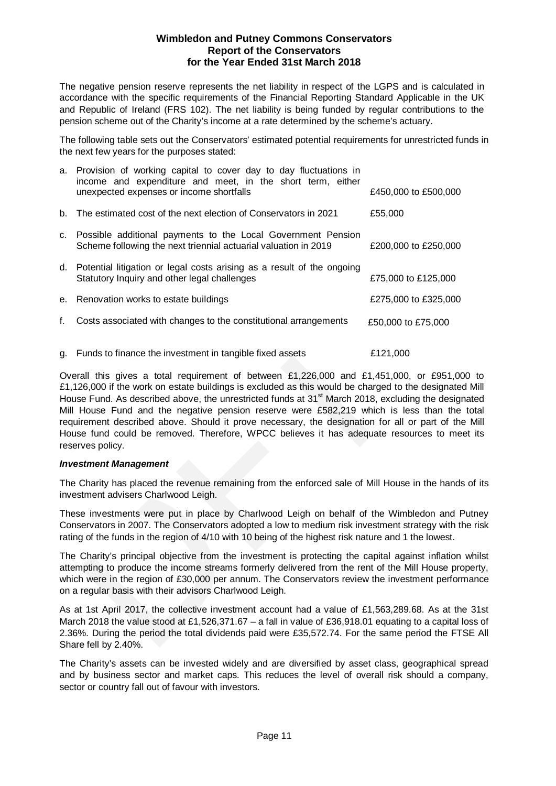The negative pension reserve represents the net liability in respect of the LGPS and is calculated in accordance with the specific requirements of the Financial Reporting Standard Applicable in the UK and Republic of Ireland (FRS 102). The net liability is being funded by regular contributions to the pension scheme out of the Charity's income at a rate determined by the scheme's actuary.

The following table sets out the Conservators' estimated potential requirements for unrestricted funds in the next few years for the purposes stated:

|    | a. Provision of working capital to cover day to day fluctuations in<br>income and expenditure and meet, in the short term, either<br>unexpected expenses or income shortfalls | £450,000 to £500,000 |
|----|-------------------------------------------------------------------------------------------------------------------------------------------------------------------------------|----------------------|
|    | b. The estimated cost of the next election of Conservators in 2021                                                                                                            | £55,000              |
|    | c. Possible additional payments to the Local Government Pension<br>Scheme following the next triennial actuarial valuation in 2019                                            | £200,000 to £250,000 |
|    | d. Potential litigation or legal costs arising as a result of the ongoing<br>Statutory Inquiry and other legal challenges                                                     | £75,000 to £125,000  |
|    | e. Renovation works to estate buildings                                                                                                                                       | £275,000 to £325,000 |
| f. | Costs associated with changes to the constitutional arrangements                                                                                                              | £50,000 to £75,000   |
|    | g. Funds to finance the investment in tangible fixed assets                                                                                                                   | £121,000             |

Overall this gives a total requirement of between £1,226,000 and £1,451,000, or £951,000 to £1,126,000 if the work on estate buildings is excluded as this would be charged to the designated Mill House Fund. As described above, the unrestricted funds at 31<sup>st</sup> March 2018, excluding the designated Mill House Fund and the negative pension reserve were £582,219 which is less than the total requirement described above. Should it prove necessary, the designation for all or part of the Mill House fund could be removed. Therefore, WPCC believes it has adequate resources to meet its reserves policy. Costs associated with changes to the constitutional arrangements  $£50,000$ <br>
Funds to finance the investment in tangible fixed assets  $£121,00$ <br>
Werall this gives a total requirement of between £1,226,000 and £1,451,00<br>
Or

## **Investment Management**

The Charity has placed the revenue remaining from the enforced sale of Mill House in the hands of its investment advisers Charlwood Leigh.

These investments were put in place by Charlwood Leigh on behalf of the Wimbledon and Putney Conservators in 2007. The Conservators adopted a low to medium risk investment strategy with the risk rating of the funds in the region of 4/10 with 10 being of the highest risk nature and 1 the lowest.

The Charity's principal objective from the investment is protecting the capital against inflation whilst attempting to produce the income streams formerly delivered from the rent of the Mill House property, which were in the region of £30,000 per annum. The Conservators review the investment performance on a regular basis with their advisors Charlwood Leigh.

As at 1st April 2017, the collective investment account had a value of £1,563,289.68. As at the 31st March 2018 the value stood at £1,526,371.67 – a fall in value of £36,918.01 equating to a capital loss of 2.36%. During the period the total dividends paid were £35,572.74. For the same period the FTSE All Share fell by 2.40%.

The Charity's assets can be invested widely and are diversified by asset class, geographical spread and by business sector and market caps. This reduces the level of overall risk should a company, sector or country fall out of favour with investors.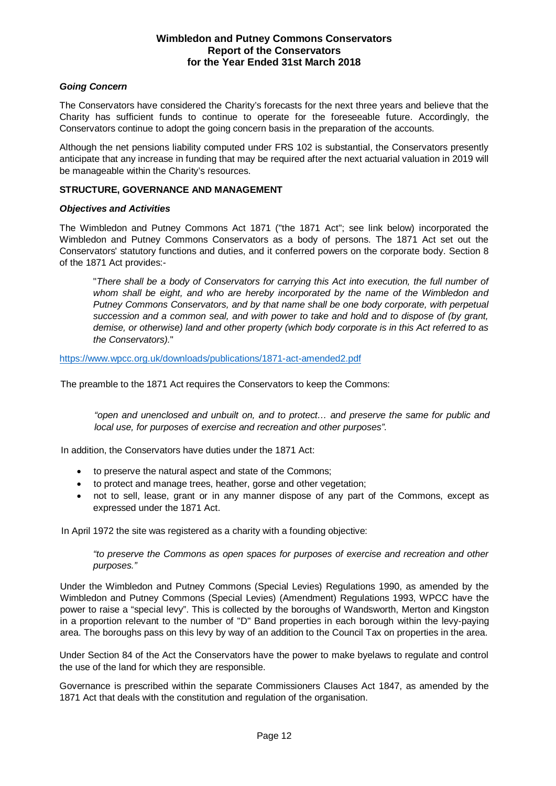## **Going Concern**

The Conservators have considered the Charity's forecasts for the next three years and believe that the Charity has sufficient funds to continue to operate for the foreseeable future. Accordingly, the Conservators continue to adopt the going concern basis in the preparation of the accounts.

Although the net pensions liability computed under FRS 102 is substantial, the Conservators presently anticipate that any increase in funding that may be required after the next actuarial valuation in 2019 will be manageable within the Charity's resources.

## **STRUCTURE, GOVERNANCE AND MANAGEMENT**

#### **Objectives and Activities**

The Wimbledon and Putney Commons Act 1871 ("the 1871 Act"; see link below) incorporated the Wimbledon and Putney Commons Conservators as a body of persons. The 1871 Act set out the Conservators' statutory functions and duties, and it conferred powers on the corporate body. Section 8 of the 1871 Act provides:-

"There shall be a body of Conservators for carrying this Act into execution, the full number of whom shall be eight, and who are hereby incorporated by the name of the Wimbledon and Putney Commons Conservators, and by that name shall be one body corporate, with perpetual succession and a common seal, and with power to take and hold and to dispose of (by grant, demise, or otherwise) land and other property (which body corporate is in this Act referred to as the Conservators)."

https://www.wpcc.org.uk/downloads/publications/1871-act-amended2.pdf

The preamble to the 1871 Act requires the Conservators to keep the Commons:

"open and unenclosed and unbuilt on, and to protect… and preserve the same for public and local use, for purposes of exercise and recreation and other purposes".

In addition, the Conservators have duties under the 1871 Act:

- � to preserve the natural aspect and state of the Commons;
- � to protect and manage trees, heather, gorse and other vegetation;
- � not to sell, lease, grant or in any manner dispose of any part of the Commons, except as expressed under the 1871 Act.

In April 1972 the site was registered as a charity with a founding objective:

"to preserve the Commons as open spaces for purposes of exercise and recreation and other purposes."

Under the Wimbledon and Putney Commons (Special Levies) Regulations 1990, as amended by the Wimbledon and Putney Commons (Special Levies) (Amendment) Regulations 1993, WPCC have the power to raise a "special levy". This is collected by the boroughs of Wandsworth, Merton and Kingston in a proportion relevant to the number of "D" Band properties in each borough within the levy-paying area. The boroughs pass on this levy by way of an addition to the Council Tax on properties in the area.

Under Section 84 of the Act the Conservators have the power to make byelaws to regulate and control the use of the land for which they are responsible.

Governance is prescribed within the separate Commissioners Clauses Act 1847, as amended by the 1871 Act that deals with the constitution and regulation of the organisation.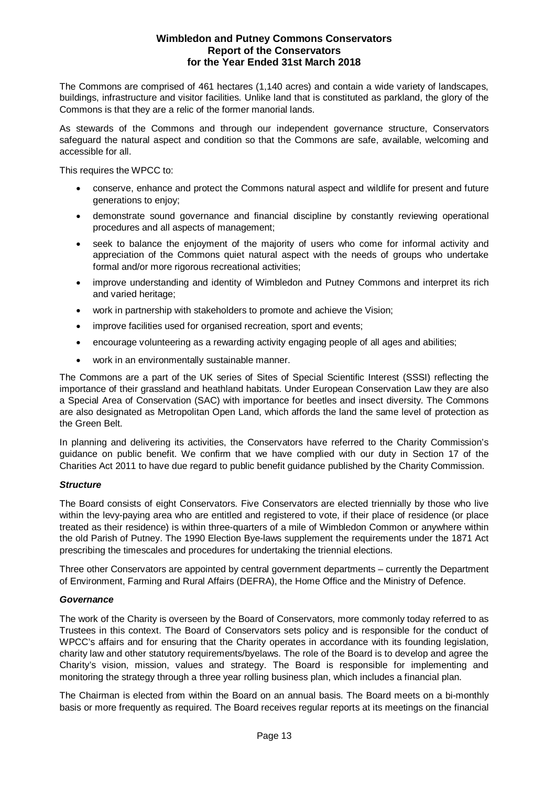The Commons are comprised of 461 hectares (1,140 acres) and contain a wide variety of landscapes, buildings, infrastructure and visitor facilities. Unlike land that is constituted as parkland, the glory of the Commons is that they are a relic of the former manorial lands.

As stewards of the Commons and through our independent governance structure, Conservators safeguard the natural aspect and condition so that the Commons are safe, available, welcoming and accessible for all.

This requires the WPCC to:

- � conserve, enhance and protect the Commons natural aspect and wildlife for present and future generations to enjoy;
- � demonstrate sound governance and financial discipline by constantly reviewing operational procedures and all aspects of management;
- seek to balance the enjoyment of the majority of users who come for informal activity and appreciation of the Commons quiet natural aspect with the needs of groups who undertake formal and/or more rigorous recreational activities;
- � improve understanding and identity of Wimbledon and Putney Commons and interpret its rich and varied heritage;
- work in partnership with stakeholders to promote and achieve the Vision;
- improve facilities used for organised recreation, sport and events;
- � encourage volunteering as a rewarding activity engaging people of all ages and abilities;
- � work in an environmentally sustainable manner.

The Commons are a part of the UK series of Sites of Special Scientific Interest (SSSI) reflecting the importance of their grassland and heathland habitats. Under European Conservation Law they are also a Special Area of Conservation (SAC) with importance for beetles and insect diversity. The Commons are also designated as Metropolitan Open Land, which affords the land the same level of protection as the Green Belt.

In planning and delivering its activities, the Conservators have referred to the Charity Commission's guidance on public benefit. We confirm that we have complied with our duty in Section 17 of the Charities Act 2011 to have due regard to public benefit guidance published by the Charity Commission.

## **Structure**

The Board consists of eight Conservators. Five Conservators are elected triennially by those who live within the levy-paying area who are entitled and registered to vote, if their place of residence (or place treated as their residence) is within three-quarters of a mile of Wimbledon Common or anywhere within the old Parish of Putney. The 1990 Election Bye-laws supplement the requirements under the 1871 Act prescribing the timescales and procedures for undertaking the triennial elections.

Three other Conservators are appointed by central government departments – currently the Department of Environment, Farming and Rural Affairs (DEFRA), the Home Office and the Ministry of Defence.

## **Governance**

The work of the Charity is overseen by the Board of Conservators, more commonly today referred to as Trustees in this context. The Board of Conservators sets policy and is responsible for the conduct of WPCC's affairs and for ensuring that the Charity operates in accordance with its founding legislation, charity law and other statutory requirements/byelaws. The role of the Board is to develop and agree the Charity's vision, mission, values and strategy. The Board is responsible for implementing and monitoring the strategy through a three year rolling business plan, which includes a financial plan.

The Chairman is elected from within the Board on an annual basis. The Board meets on a bi-monthly basis or more frequently as required. The Board receives regular reports at its meetings on the financial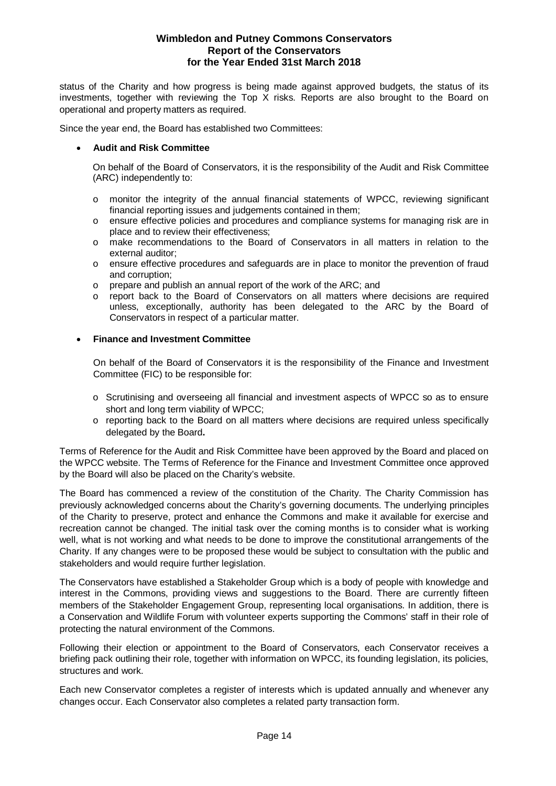status of the Charity and how progress is being made against approved budgets, the status of its investments, together with reviewing the Top X risks. Reports are also brought to the Board on operational and property matters as required.

Since the year end, the Board has established two Committees:

## � **Audit and Risk Committee**

On behalf of the Board of Conservators, it is the responsibility of the Audit and Risk Committee (ARC) independently to:

- o monitor the integrity of the annual financial statements of WPCC, reviewing significant financial reporting issues and judgements contained in them;
- o ensure effective policies and procedures and compliance systems for managing risk are in place and to review their effectiveness;
- o make recommendations to the Board of Conservators in all matters in relation to the external auditor;
- o ensure effective procedures and safeguards are in place to monitor the prevention of fraud and corruption;
- o prepare and publish an annual report of the work of the ARC; and
- o report back to the Board of Conservators on all matters where decisions are required unless, exceptionally, authority has been delegated to the ARC by the Board of Conservators in respect of a particular matter.

#### � **Finance and Investment Committee**

On behalf of the Board of Conservators it is the responsibility of the Finance and Investment Committee (FIC) to be responsible for:

- o Scrutinising and overseeing all financial and investment aspects of WPCC so as to ensure short and long term viability of WPCC;
- o reporting back to the Board on all matters where decisions are required unless specifically delegated by the Board**.**

Terms of Reference for the Audit and Risk Committee have been approved by the Board and placed on the WPCC website. The Terms of Reference for the Finance and Investment Committee once approved by the Board will also be placed on the Charity's website.

The Board has commenced a review of the constitution of the Charity. The Charity Commission has previously acknowledged concerns about the Charity's governing documents. The underlying principles of the Charity to preserve, protect and enhance the Commons and make it available for exercise and recreation cannot be changed. The initial task over the coming months is to consider what is working well, what is not working and what needs to be done to improve the constitutional arrangements of the Charity. If any changes were to be proposed these would be subject to consultation with the public and stakeholders and would require further legislation.

The Conservators have established a Stakeholder Group which is a body of people with knowledge and interest in the Commons, providing views and suggestions to the Board. There are currently fifteen members of the Stakeholder Engagement Group, representing local organisations. In addition, there is a Conservation and Wildlife Forum with volunteer experts supporting the Commons' staff in their role of protecting the natural environment of the Commons.

Following their election or appointment to the Board of Conservators, each Conservator receives a briefing pack outlining their role, together with information on WPCC, its founding legislation, its policies, structures and work.

Each new Conservator completes a register of interests which is updated annually and whenever any changes occur. Each Conservator also completes a related party transaction form.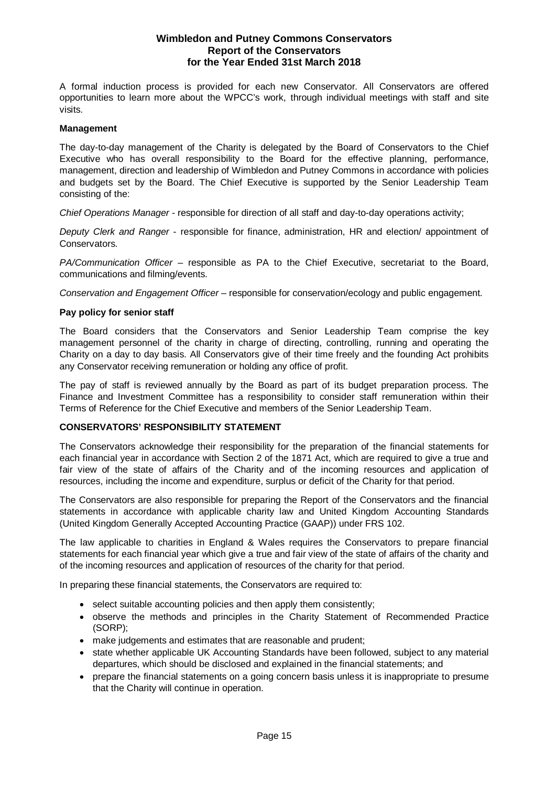A formal induction process is provided for each new Conservator. All Conservators are offered opportunities to learn more about the WPCC's work, through individual meetings with staff and site visits.

#### **Management**

The day-to-day management of the Charity is delegated by the Board of Conservators to the Chief Executive who has overall responsibility to the Board for the effective planning, performance, management, direction and leadership of Wimbledon and Putney Commons in accordance with policies and budgets set by the Board. The Chief Executive is supported by the Senior Leadership Team consisting of the:

Chief Operations Manager - responsible for direction of all staff and day-to-day operations activity;

Deputy Clerk and Ranger - responsible for finance, administration, HR and election/ appointment of Conservators.

PA/Communication Officer – responsible as PA to the Chief Executive, secretariat to the Board, communications and filming/events.

Conservation and Engagement Officer – responsible for conservation/ecology and public engagement.

#### **Pay policy for senior staff**

The Board considers that the Conservators and Senior Leadership Team comprise the key management personnel of the charity in charge of directing, controlling, running and operating the Charity on a day to day basis. All Conservators give of their time freely and the founding Act prohibits any Conservator receiving remuneration or holding any office of profit.

The pay of staff is reviewed annually by the Board as part of its budget preparation process. The Finance and Investment Committee has a responsibility to consider staff remuneration within their Terms of Reference for the Chief Executive and members of the Senior Leadership Team.

## **CONSERVATORS' RESPONSIBILITY STATEMENT**

The Conservators acknowledge their responsibility for the preparation of the financial statements for each financial year in accordance with Section 2 of the 1871 Act, which are required to give a true and fair view of the state of affairs of the Charity and of the incoming resources and application of resources, including the income and expenditure, surplus or deficit of the Charity for that period.

The Conservators are also responsible for preparing the Report of the Conservators and the financial statements in accordance with applicable charity law and United Kingdom Accounting Standards (United Kingdom Generally Accepted Accounting Practice (GAAP)) under FRS 102.

The law applicable to charities in England & Wales requires the Conservators to prepare financial statements for each financial year which give a true and fair view of the state of affairs of the charity and of the incoming resources and application of resources of the charity for that period.

In preparing these financial statements, the Conservators are required to:

- select suitable accounting policies and then apply them consistently;
- � observe the methods and principles in the Charity Statement of Recommended Practice (SORP);
- make judgements and estimates that are reasonable and prudent;
- state whether applicable UK Accounting Standards have been followed, subject to any material departures, which should be disclosed and explained in the financial statements; and
- � prepare the financial statements on a going concern basis unless it is inappropriate to presume that the Charity will continue in operation.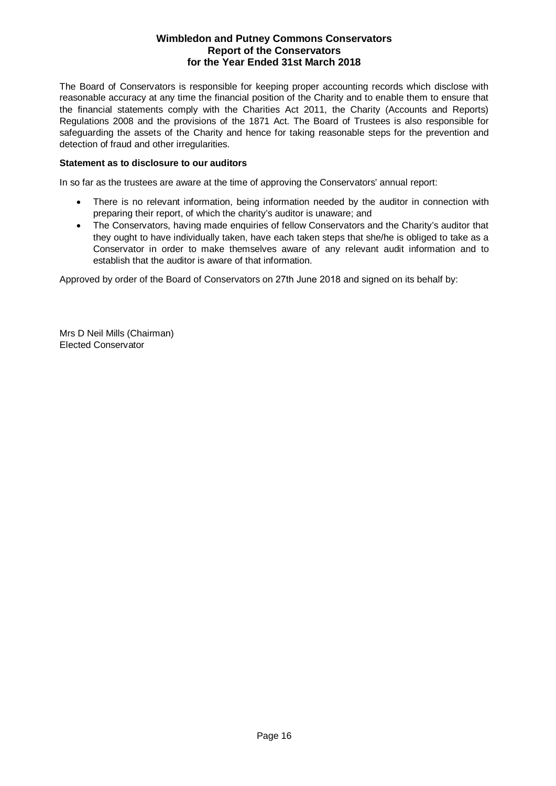The Board of Conservators is responsible for keeping proper accounting records which disclose with reasonable accuracy at any time the financial position of the Charity and to enable them to ensure that the financial statements comply with the Charities Act 2011, the Charity (Accounts and Reports) Regulations 2008 and the provisions of the 1871 Act. The Board of Trustees is also responsible for safeguarding the assets of the Charity and hence for taking reasonable steps for the prevention and detection of fraud and other irregularities.

## **Statement as to disclosure to our auditors**

In so far as the trustees are aware at the time of approving the Conservators' annual report:

- � There is no relevant information, being information needed by the auditor in connection with preparing their report, of which the charity's auditor is unaware; and
- � The Conservators, having made enquiries of fellow Conservators and the Charity's auditor that they ought to have individually taken, have each taken steps that she/he is obliged to take as a Conservator in order to make themselves aware of any relevant audit information and to establish that the auditor is aware of that information.

Approved by order of the Board of Conservators on 27th June 2018 and signed on its behalf by:

Mrs D Neil Mills (Chairman) Elected Conservator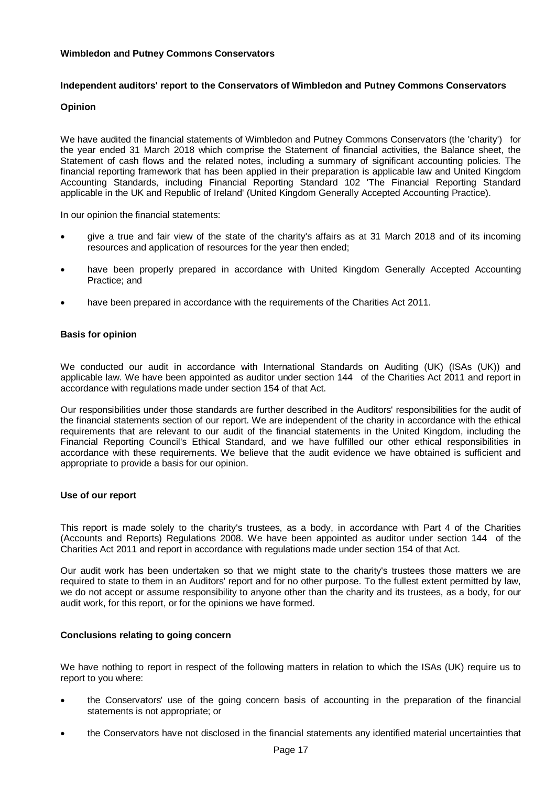#### **Independent auditors' report to the Conservators of Wimbledon and Putney Commons Conservators**

#### **Opinion**

We have audited the financial statements of Wimbledon and Putney Commons Conservators (the 'charity') for the year ended 31 March 2018 which comprise the Statement of financial activities, the Balance sheet, the Statement of cash flows and the related notes, including a summary of significant accounting policies. The financial reporting framework that has been applied in their preparation is applicable law and United Kingdom Accounting Standards, including Financial Reporting Standard 102 'The Financial Reporting Standard applicable in the UK and Republic of Ireland' (United Kingdom Generally Accepted Accounting Practice).

In our opinion the financial statements:

- � give a true and fair view of the state of the charity's affairs as at 31 March 2018 and of its incoming resources and application of resources for the year then ended;
- have been properly prepared in accordance with United Kingdom Generally Accepted Accounting Practice; and
- have been prepared in accordance with the requirements of the Charities Act 2011.

#### **Basis for opinion**

We conducted our audit in accordance with International Standards on Auditing (UK) (ISAs (UK)) and applicable law. We have been appointed as auditor under section 144 of the Charities Act 2011 and report in accordance with regulations made under section 154 of that Act.

Our responsibilities under those standards are further described in the Auditors' responsibilities for the audit of the financial statements section of our report. We are independent of the charity in accordance with the ethical requirements that are relevant to our audit of the financial statements in the United Kingdom, including the Financial Reporting Council's Ethical Standard, and we have fulfilled our other ethical responsibilities in accordance with these requirements. We believe that the audit evidence we have obtained is sufficient and appropriate to provide a basis for our opinion.

#### **Use of our report**

This report is made solely to the charity's trustees, as a body, in accordance with Part 4 of the Charities (Accounts and Reports) Regulations 2008. We have been appointed as auditor under section 144 of the Charities Act 2011 and report in accordance with regulations made under section 154 of that Act.

Our audit work has been undertaken so that we might state to the charity's trustees those matters we are required to state to them in an Auditors' report and for no other purpose. To the fullest extent permitted by law, we do not accept or assume responsibility to anyone other than the charity and its trustees, as a body, for our audit work, for this report, or for the opinions we have formed.

## **Conclusions relating to going concern**

We have nothing to report in respect of the following matters in relation to which the ISAs (UK) require us to report to you where:

- � the Conservators' use of the going concern basis of accounting in the preparation of the financial statements is not appropriate; or
- � the Conservators have not disclosed in the financial statements any identified material uncertainties that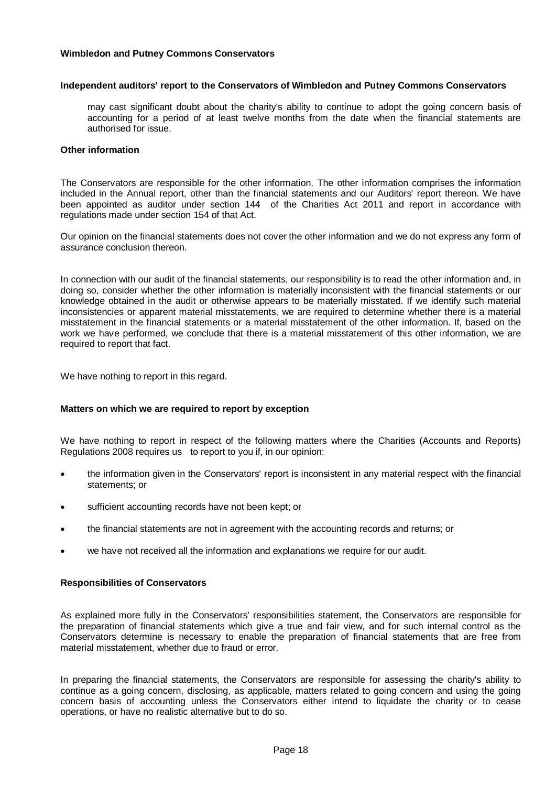### **Independent auditors' report to the Conservators of Wimbledon and Putney Commons Conservators**

may cast significant doubt about the charity's ability to continue to adopt the going concern basis of accounting for a period of at least twelve months from the date when the financial statements are authorised for issue.

## **Other information**

The Conservators are responsible for the other information. The other information comprises the information included in the Annual report, other than the financial statements and our Auditors' report thereon. We have been appointed as auditor under section 144 of the Charities Act 2011 and report in accordance with regulations made under section 154 of that Act.

Our opinion on the financial statements does not cover the other information and we do not express any form of assurance conclusion thereon.

In connection with our audit of the financial statements, our responsibility is to read the other information and, in doing so, consider whether the other information is materially inconsistent with the financial statements or our knowledge obtained in the audit or otherwise appears to be materially misstated. If we identify such material inconsistencies or apparent material misstatements, we are required to determine whether there is a material misstatement in the financial statements or a material misstatement of the other information. If, based on the work we have performed, we conclude that there is a material misstatement of this other information, we are required to report that fact.

We have nothing to report in this regard.

## **Matters on which we are required to report by exception**

We have nothing to report in respect of the following matters where the Charities (Accounts and Reports) Regulations 2008 requires us to report to you if, in our opinion:

- � the information given in the Conservators' report is inconsistent in any material respect with the financial statements; or
- sufficient accounting records have not been kept; or
- � the financial statements are not in agreement with the accounting records and returns; or
- we have not received all the information and explanations we require for our audit.

### **Responsibilities of Conservators**

As explained more fully in the Conservators' responsibilities statement, the Conservators are responsible for the preparation of financial statements which give a true and fair view, and for such internal control as the Conservators determine is necessary to enable the preparation of financial statements that are free from material misstatement, whether due to fraud or error.

In preparing the financial statements, the Conservators are responsible for assessing the charity's ability to continue as a going concern, disclosing, as applicable, matters related to going concern and using the going concern basis of accounting unless the Conservators either intend to liquidate the charity or to cease operations, or have no realistic alternative but to do so.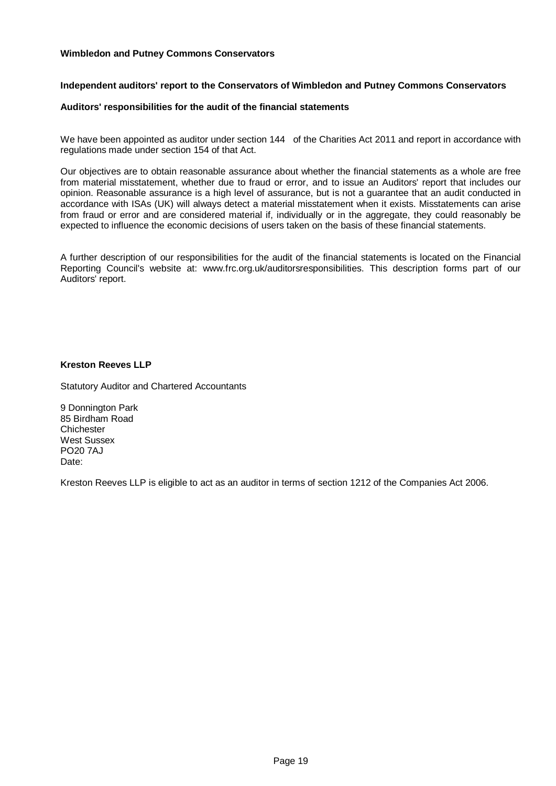#### **Independent auditors' report to the Conservators of Wimbledon and Putney Commons Conservators**

#### **Auditors' responsibilities for the audit of the financial statements**

We have been appointed as auditor under section 144 of the Charities Act 2011 and report in accordance with regulations made under section 154 of that Act.

Our objectives are to obtain reasonable assurance about whether the financial statements as a whole are free from material misstatement, whether due to fraud or error, and to issue an Auditors' report that includes our opinion. Reasonable assurance is a high level of assurance, but is not a guarantee that an audit conducted in accordance with ISAs (UK) will always detect a material misstatement when it exists. Misstatements can arise from fraud or error and are considered material if, individually or in the aggregate, they could reasonably be expected to influence the economic decisions of users taken on the basis of these financial statements.

A further description of our responsibilities for the audit of the financial statements is located on the Financial Reporting Council's website at: www.frc.org.uk/auditorsresponsibilities. This description forms part of our Auditors' report.

#### **Kreston Reeves LLP**

Statutory Auditor and Chartered Accountants

9 Donnington Park 85 Birdham Road **Chichester** West Sussex PO20 7AJ Date:

Kreston Reeves LLP is eligible to act as an auditor in terms of section 1212 of the Companies Act 2006.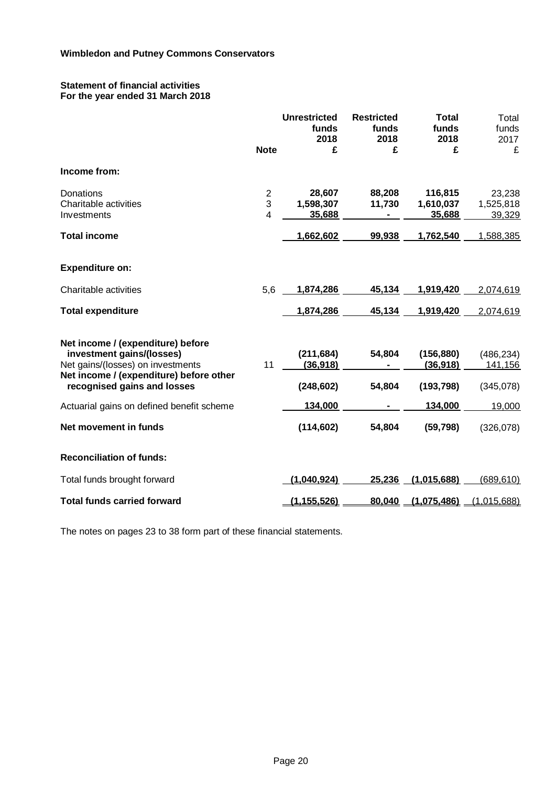### **Statement of financial activities For the year ended 31 March 2018**

|                                                                                                                                                                               | <b>Note</b>                                  | <b>Unrestricted</b><br>funds<br>2018<br>£ | <b>Restricted</b><br>funds<br>2018<br>£ | <b>Total</b><br>funds<br>2018<br>£   | Total<br>funds<br>2017<br>£        |
|-------------------------------------------------------------------------------------------------------------------------------------------------------------------------------|----------------------------------------------|-------------------------------------------|-----------------------------------------|--------------------------------------|------------------------------------|
| Income from:                                                                                                                                                                  |                                              |                                           |                                         |                                      |                                    |
| Donations<br>Charitable activities<br>Investments                                                                                                                             | $\overline{\mathbf{c}}$<br>$\mathbf{3}$<br>4 | 28,607<br>1,598,307<br>35,688             | 88,208<br>11,730<br>$\blacksquare$      | 116,815<br>1,610,037<br>35,688       | 23,238<br>1,525,818<br>39,329      |
| <b>Total income</b>                                                                                                                                                           |                                              | 1,662,602                                 | 99,938                                  | 1,762,540                            | 1,588,385                          |
| <b>Expenditure on:</b>                                                                                                                                                        |                                              |                                           |                                         |                                      |                                    |
| Charitable activities                                                                                                                                                         | 5,6                                          | 1,874,286                                 | 45,134                                  | 1,919,420                            | 2,074,619                          |
| <b>Total expenditure</b>                                                                                                                                                      |                                              | 1,874,286                                 | 45,134                                  | 1,919,420                            | 2,074,619                          |
| Net income / (expenditure) before<br>investment gains/(losses)<br>Net gains/(losses) on investments<br>Net income / (expenditure) before other<br>recognised gains and losses | 11                                           | (211, 684)<br>(36,918)<br>(248, 602)      | 54,804<br>54,804                        | (156, 880)<br>(36,918)<br>(193, 798) | (486, 234)<br>141,156<br>(345,078) |
| Actuarial gains on defined benefit scheme                                                                                                                                     |                                              | 134,000                                   |                                         | 134,000                              | 19,000                             |
| Net movement in funds                                                                                                                                                         |                                              | (114, 602)                                | 54,804                                  | (59, 798)                            | (326,078)                          |
| <b>Reconciliation of funds:</b>                                                                                                                                               |                                              |                                           |                                         |                                      |                                    |
| Total funds brought forward                                                                                                                                                   |                                              | (1,040,924)                               | 25,236                                  | (1,015,688)                          | (689,610)                          |
| <b>Total funds carried forward</b>                                                                                                                                            |                                              | (1, 155, 526)                             | 80,040                                  | (1,075,486)                          | (1,015,688)                        |

The notes on pages 23 to 38 form part of these financial statements.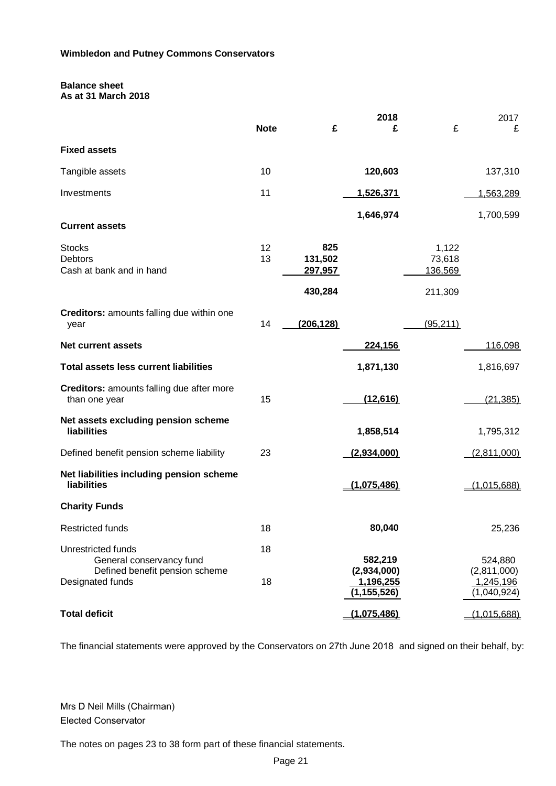# **Balance sheet**

|  | As at 31 March 2018 |  |
|--|---------------------|--|
|  |                     |  |

|                                                                                                      | <b>Note</b> | £                                           | 2018<br>£                                            | £                                     | 2017<br>£                                          |
|------------------------------------------------------------------------------------------------------|-------------|---------------------------------------------|------------------------------------------------------|---------------------------------------|----------------------------------------------------|
| <b>Fixed assets</b>                                                                                  |             |                                             |                                                      |                                       |                                                    |
| Tangible assets                                                                                      | 10          |                                             | 120,603                                              |                                       | 137,310                                            |
| Investments                                                                                          | 11          |                                             | 1,526,371                                            |                                       | 1,563,289                                          |
| <b>Current assets</b>                                                                                |             |                                             | 1,646,974                                            |                                       | 1,700,599                                          |
| <b>Stocks</b><br><b>Debtors</b><br>Cash at bank and in hand                                          | 12<br>13    | 825<br>131,502<br><u>297,957</u><br>430,284 |                                                      | 1,122<br>73,618<br>136,569<br>211,309 |                                                    |
| Creditors: amounts falling due within one<br>year                                                    | 14          | (206, 128)                                  |                                                      | (95, 211)                             |                                                    |
| <b>Net current assets</b>                                                                            |             |                                             | 224,156                                              |                                       | 116,098                                            |
| <b>Total assets less current liabilities</b>                                                         |             |                                             | 1,871,130                                            |                                       | 1,816,697                                          |
| Creditors: amounts falling due after more<br>than one year                                           | 15          |                                             | (12, 616)                                            |                                       | (21, 385)                                          |
| Net assets excluding pension scheme<br><b>liabilities</b>                                            |             |                                             | 1,858,514                                            |                                       | 1,795,312                                          |
| Defined benefit pension scheme liability                                                             | 23          |                                             | (2,934,000)                                          |                                       | (2,811,000)                                        |
| Net liabilities including pension scheme<br>liabilities                                              |             |                                             | (1,075,486)                                          |                                       | (1,015,688)                                        |
| <b>Charity Funds</b>                                                                                 |             |                                             |                                                      |                                       |                                                    |
| <b>Restricted funds</b>                                                                              | 18          |                                             | 80,040                                               |                                       | 25,236                                             |
| Unrestricted funds<br>General conservancy fund<br>Defined benefit pension scheme<br>Designated funds | 18<br>18    |                                             | 582,219<br>(2,934,000)<br>1,196,255<br>(1, 155, 526) |                                       | 524,880<br>(2,811,000)<br>1,245,196<br>(1,040,924) |
| <b>Total deficit</b>                                                                                 |             |                                             | (1,075,486)                                          |                                       | (1,015,688)                                        |

The financial statements were approved by the Conservators on 27th June 2018 and signed on their behalf, by:

Mrs D Neil Mills (Chairman) Elected Conservator

The notes on pages 23 to 38 form part of these financial statements.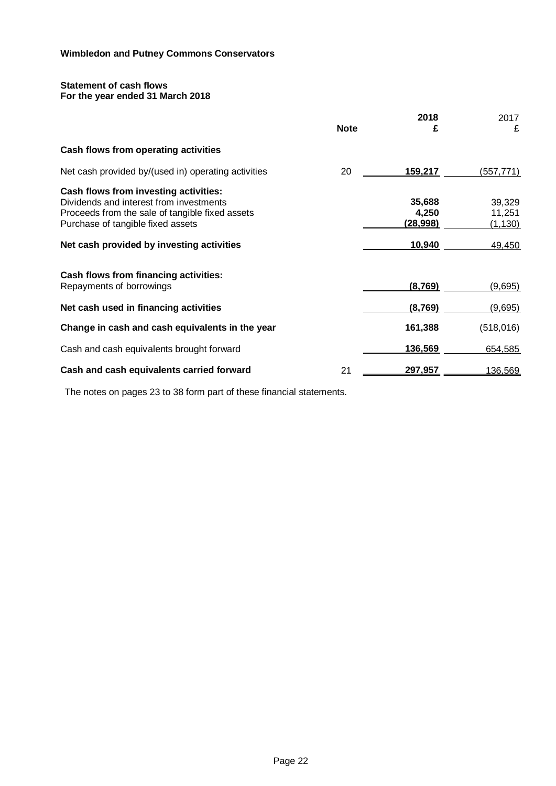## **Statement of cash flows For the year ended 31 March 2018**

|                                                                                                                                                                                                                       | <b>Note</b> | 2018<br>£                                    | 2017<br>£                              |
|-----------------------------------------------------------------------------------------------------------------------------------------------------------------------------------------------------------------------|-------------|----------------------------------------------|----------------------------------------|
| Cash flows from operating activities                                                                                                                                                                                  |             |                                              |                                        |
| Net cash provided by/(used in) operating activities                                                                                                                                                                   | 20          | 159,217                                      | (557, 771)                             |
| Cash flows from investing activities:<br>Dividends and interest from investments<br>Proceeds from the sale of tangible fixed assets<br>Purchase of tangible fixed assets<br>Net cash provided by investing activities |             | 35,688<br>4,250<br><u>(28,998)</u><br>10,940 | 39,329<br>11,251<br>(1, 130)<br>49,450 |
| Cash flows from financing activities:<br>Repayments of borrowings                                                                                                                                                     |             | (8,769)                                      | <u>(9,695)</u>                         |
| Net cash used in financing activities                                                                                                                                                                                 |             | (8,769)                                      | <u>(9,695)</u>                         |
| Change in cash and cash equivalents in the year                                                                                                                                                                       |             | 161,388                                      | (518, 016)                             |
| Cash and cash equivalents brought forward                                                                                                                                                                             |             | 136,569                                      | 654,585                                |
| Cash and cash equivalents carried forward                                                                                                                                                                             | 21          | 297,957                                      | 136,569                                |

The notes on pages 23 to 38 form part of these financial statements.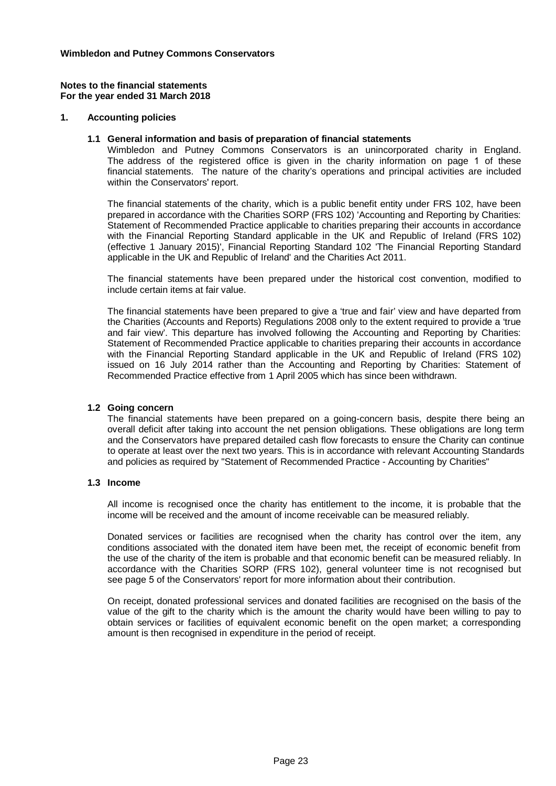#### **1. Accounting policies**

#### **1.1 General information and basis of preparation of financial statements**

Wimbledon and Putney Commons Conservators is an unincorporated charity in England. The address of the registered office is given in the charity information on page 1 of these financial statements. The nature of the charity's operations and principal activities are included within the Conservators' report.

The financial statements of the charity, which is a public benefit entity under FRS 102, have been prepared in accordance with the Charities SORP (FRS 102) 'Accounting and Reporting by Charities: Statement of Recommended Practice applicable to charities preparing their accounts in accordance with the Financial Reporting Standard applicable in the UK and Republic of Ireland (FRS 102) (effective 1 January 2015)', Financial Reporting Standard 102 'The Financial Reporting Standard applicable in the UK and Republic of Ireland' and the Charities Act 2011.

The financial statements have been prepared under the historical cost convention, modified to include certain items at fair value.

The financial statements have been prepared to give a 'true and fair' view and have departed from the Charities (Accounts and Reports) Regulations 2008 only to the extent required to provide a 'true and fair view'. This departure has involved following the Accounting and Reporting by Charities: Statement of Recommended Practice applicable to charities preparing their accounts in accordance with the Financial Reporting Standard applicable in the UK and Republic of Ireland (FRS 102) issued on 16 July 2014 rather than the Accounting and Reporting by Charities: Statement of Recommended Practice effective from 1 April 2005 which has since been withdrawn.

#### **1.2 Going concern**

The financial statements have been prepared on a going-concern basis, despite there being an overall deficit after taking into account the net pension obligations. These obligations are long term and the Conservators have prepared detailed cash flow forecasts to ensure the Charity can continue to operate at least over the next two years. This is in accordance with relevant Accounting Standards and policies as required by "Statement of Recommended Practice - Accounting by Charities"

#### **1.3 Income**

All income is recognised once the charity has entitlement to the income, it is probable that the income will be received and the amount of income receivable can be measured reliably.

Donated services or facilities are recognised when the charity has control over the item, any conditions associated with the donated item have been met, the receipt of economic benefit from the use of the charity of the item is probable and that economic benefit can be measured reliably. In accordance with the Charities SORP (FRS 102), general volunteer time is not recognised but see page 5 of the Conservators' report for more information about their contribution.

On receipt, donated professional services and donated facilities are recognised on the basis of the value of the gift to the charity which is the amount the charity would have been willing to pay to obtain services or facilities of equivalent economic benefit on the open market; a corresponding amount is then recognised in expenditure in the period of receipt.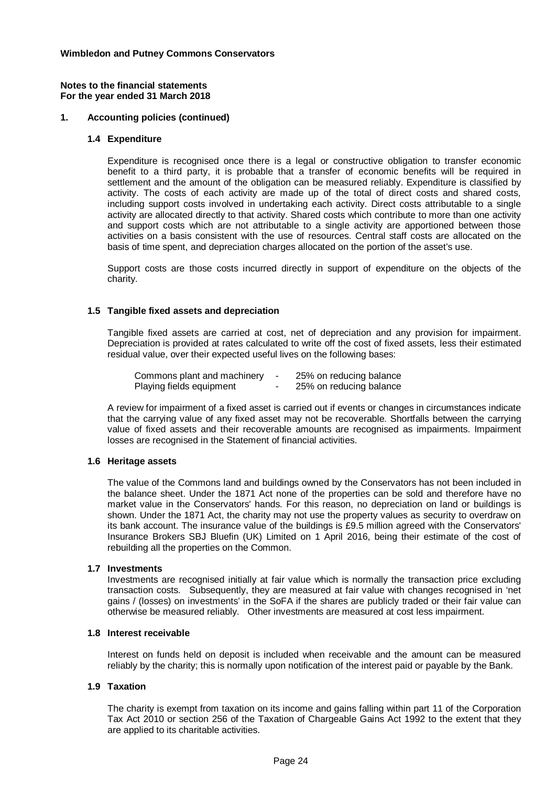#### **Notes to the financial statements For the year ended 31 March 2018**

## **1. Accounting policies (continued)**

#### **1.4 Expenditure**

Expenditure is recognised once there is a legal or constructive obligation to transfer economic benefit to a third party, it is probable that a transfer of economic benefits will be required in settlement and the amount of the obligation can be measured reliably. Expenditure is classified by activity. The costs of each activity are made up of the total of direct costs and shared costs, including support costs involved in undertaking each activity. Direct costs attributable to a single activity are allocated directly to that activity. Shared costs which contribute to more than one activity and support costs which are not attributable to a single activity are apportioned between those activities on a basis consistent with the use of resources. Central staff costs are allocated on the basis of time spent, and depreciation charges allocated on the portion of the asset's use.

Support costs are those costs incurred directly in support of expenditure on the objects of the charity.

## **1.5 Tangible fixed assets and depreciation**

Tangible fixed assets are carried at cost, net of depreciation and any provision for impairment. Depreciation is provided at rates calculated to write off the cost of fixed assets, less their estimated residual value, over their expected useful lives on the following bases:

| Commons plant and machinery |                          | 25% on reducing balance |
|-----------------------------|--------------------------|-------------------------|
| Playing fields equipment    | $\overline{\phantom{a}}$ | 25% on reducing balance |

A review for impairment of a fixed asset is carried out if events or changes in circumstances indicate that the carrying value of any fixed asset may not be recoverable. Shortfalls between the carrying value of fixed assets and their recoverable amounts are recognised as impairments. Impairment losses are recognised in the Statement of financial activities.

## **1.6 Heritage assets**

The value of the Commons land and buildings owned by the Conservators has not been included in the balance sheet. Under the 1871 Act none of the properties can be sold and therefore have no market value in the Conservators' hands. For this reason, no depreciation on land or buildings is shown. Under the 1871 Act, the charity may not use the property values as security to overdraw on its bank account. The insurance value of the buildings is £9.5 million agreed with the Conservators' Insurance Brokers SBJ Bluefin (UK) Limited on 1 April 2016, being their estimate of the cost of rebuilding all the properties on the Common.

#### **1.7 Investments**

Investments are recognised initially at fair value which is normally the transaction price excluding transaction costs. Subsequently, they are measured at fair value with changes recognised in 'net gains / (losses) on investments' in the SoFA if the shares are publicly traded or their fair value can otherwise be measured reliably. Other investments are measured at cost less impairment.

## **1.8 Interest receivable**

Interest on funds held on deposit is included when receivable and the amount can be measured reliably by the charity; this is normally upon notification of the interest paid or payable by the Bank.

#### **1.9 Taxation**

The charity is exempt from taxation on its income and gains falling within part 11 of the Corporation Tax Act 2010 or section 256 of the Taxation of Chargeable Gains Act 1992 to the extent that they are applied to its charitable activities.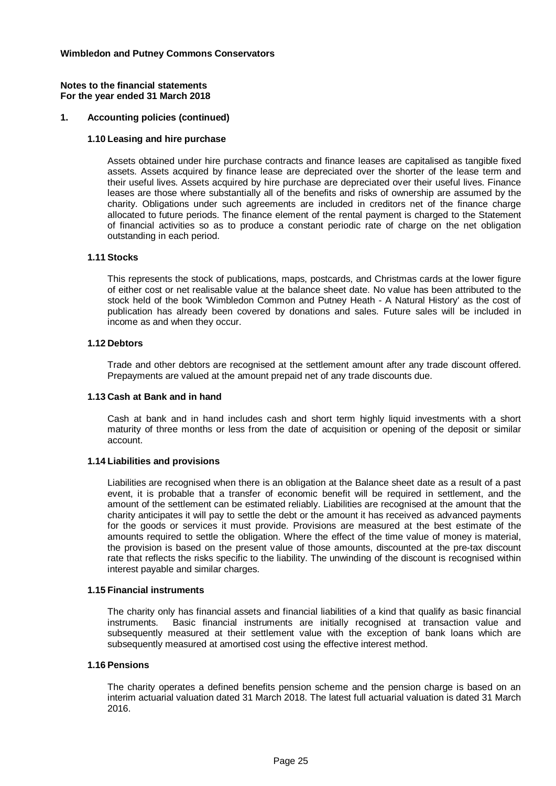#### **Notes to the financial statements For the year ended 31 March 2018**

## **1. Accounting policies (continued)**

#### **1.10 Leasing and hire purchase**

Assets obtained under hire purchase contracts and finance leases are capitalised as tangible fixed assets. Assets acquired by finance lease are depreciated over the shorter of the lease term and their useful lives. Assets acquired by hire purchase are depreciated over their useful lives. Finance leases are those where substantially all of the benefits and risks of ownership are assumed by the charity. Obligations under such agreements are included in creditors net of the finance charge allocated to future periods. The finance element of the rental payment is charged to the Statement of financial activities so as to produce a constant periodic rate of charge on the net obligation outstanding in each period.

#### **1.11 Stocks**

This represents the stock of publications, maps, postcards, and Christmas cards at the lower figure of either cost or net realisable value at the balance sheet date. No value has been attributed to the stock held of the book 'Wimbledon Common and Putney Heath - A Natural History' as the cost of publication has already been covered by donations and sales. Future sales will be included in income as and when they occur.

#### **1.12 Debtors**

Trade and other debtors are recognised at the settlement amount after any trade discount offered. Prepayments are valued at the amount prepaid net of any trade discounts due.

#### **1.13 Cash at Bank and in hand**

Cash at bank and in hand includes cash and short term highly liquid investments with a short maturity of three months or less from the date of acquisition or opening of the deposit or similar account.

#### **1.14 Liabilities and provisions**

Liabilities are recognised when there is an obligation at the Balance sheet date as a result of a past event, it is probable that a transfer of economic benefit will be required in settlement, and the amount of the settlement can be estimated reliably. Liabilities are recognised at the amount that the charity anticipates it will pay to settle the debt or the amount it has received as advanced payments for the goods or services it must provide. Provisions are measured at the best estimate of the amounts required to settle the obligation. Where the effect of the time value of money is material, the provision is based on the present value of those amounts, discounted at the pre-tax discount rate that reflects the risks specific to the liability. The unwinding of the discount is recognised within interest payable and similar charges.

#### **1.15 Financial instruments**

The charity only has financial assets and financial liabilities of a kind that qualify as basic financial instruments. Basic financial instruments are initially recognised at transaction value and subsequently measured at their settlement value with the exception of bank loans which are subsequently measured at amortised cost using the effective interest method.

#### **1.16 Pensions**

The charity operates a defined benefits pension scheme and the pension charge is based on an interim actuarial valuation dated 31 March 2018. The latest full actuarial valuation is dated 31 March 2016.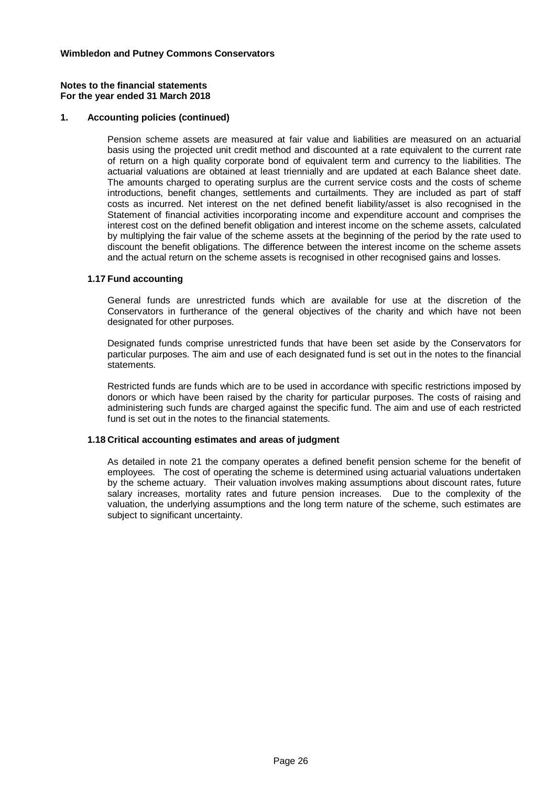#### **1. Accounting policies (continued)**

Pension scheme assets are measured at fair value and liabilities are measured on an actuarial basis using the projected unit credit method and discounted at a rate equivalent to the current rate of return on a high quality corporate bond of equivalent term and currency to the liabilities. The actuarial valuations are obtained at least triennially and are updated at each Balance sheet date. The amounts charged to operating surplus are the current service costs and the costs of scheme introductions, benefit changes, settlements and curtailments. They are included as part of staff costs as incurred. Net interest on the net defined benefit liability/asset is also recognised in the Statement of financial activities incorporating income and expenditure account and comprises the interest cost on the defined benefit obligation and interest income on the scheme assets, calculated by multiplying the fair value of the scheme assets at the beginning of the period by the rate used to discount the benefit obligations. The difference between the interest income on the scheme assets and the actual return on the scheme assets is recognised in other recognised gains and losses.

#### **1.17 Fund accounting**

General funds are unrestricted funds which are available for use at the discretion of the Conservators in furtherance of the general objectives of the charity and which have not been designated for other purposes.

Designated funds comprise unrestricted funds that have been set aside by the Conservators for particular purposes. The aim and use of each designated fund is set out in the notes to the financial statements.

Restricted funds are funds which are to be used in accordance with specific restrictions imposed by donors or which have been raised by the charity for particular purposes. The costs of raising and administering such funds are charged against the specific fund. The aim and use of each restricted fund is set out in the notes to the financial statements.

## **1.18 Critical accounting estimates and areas of judgment**

As detailed in note 21 the company operates a defined benefit pension scheme for the benefit of employees. The cost of operating the scheme is determined using actuarial valuations undertaken by the scheme actuary. Their valuation involves making assumptions about discount rates, future salary increases, mortality rates and future pension increases. Due to the complexity of the valuation, the underlying assumptions and the long term nature of the scheme, such estimates are subject to significant uncertainty.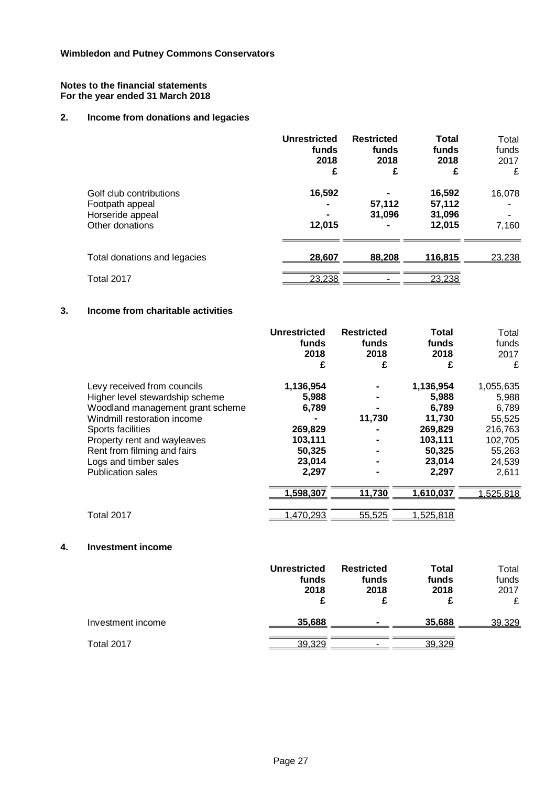## **2. Income from donations and legacies**

|                                                                                   | <b>Unrestricted</b><br>funds<br>2018<br>£ | <b>Restricted</b><br>funds<br>2018<br>£ | <b>Total</b><br>funds<br>2018<br>£   | Total<br>funds<br>2017<br>£ |
|-----------------------------------------------------------------------------------|-------------------------------------------|-----------------------------------------|--------------------------------------|-----------------------------|
| Golf club contributions<br>Footpath appeal<br>Horseride appeal<br>Other donations | 16,592<br>12,015                          | 57,112<br>31.096                        | 16,592<br>57,112<br>31,096<br>12,015 | 16,078<br>7,160             |
| Total donations and legacies                                                      | 28,607                                    | 88,208                                  | <u>116,815</u>                       | 23,238                      |
| Total 2017                                                                        | 23,238                                    |                                         | 23,238                               |                             |

## **3. Income from charitable activities**

|                                                                                                                                                                                                                                                                           | <b>Unrestricted</b><br>funds<br>2018<br>£                                      | <b>Restricted</b><br>funds<br>2018<br>£ | <b>Total</b><br>funds<br>2018<br>£                                                       | Total<br>funds<br>2017<br>£                                                              |
|---------------------------------------------------------------------------------------------------------------------------------------------------------------------------------------------------------------------------------------------------------------------------|--------------------------------------------------------------------------------|-----------------------------------------|------------------------------------------------------------------------------------------|------------------------------------------------------------------------------------------|
| Levy received from councils<br>Higher level stewardship scheme<br>Woodland management grant scheme<br>Windmill restoration income<br>Sports facilities<br>Property rent and wayleaves<br>Rent from filming and fairs<br>Logs and timber sales<br><b>Publication sales</b> | 1,136,954<br>5,988<br>6,789<br>269,829<br>103,111<br>50,325<br>23,014<br>2,297 | 11,730                                  | 1,136,954<br>5,988<br>6,789<br>11,730<br>269,829<br>103,111<br>50,325<br>23,014<br>2,297 | 1,055,635<br>5,988<br>6,789<br>55,525<br>216,763<br>102,705<br>55,263<br>24,539<br>2,611 |
| Total 2017                                                                                                                                                                                                                                                                | 1,598,307<br>1,470,293                                                         | 11,730<br>55,525                        | 1,610,037<br>,525,818                                                                    | .525,818                                                                                 |

## **4. Investment income**

|                   | Unrestricted<br>funds<br>2018 | <b>Restricted</b><br>funds<br>2018 | Total<br>funds<br>2018 | Total<br>funds<br>2017<br>£ |
|-------------------|-------------------------------|------------------------------------|------------------------|-----------------------------|
| Investment income | 35,688                        | $\blacksquare$                     | 35,688                 | 39,329                      |
| Total 2017        | 39,329                        |                                    | 39.329                 |                             |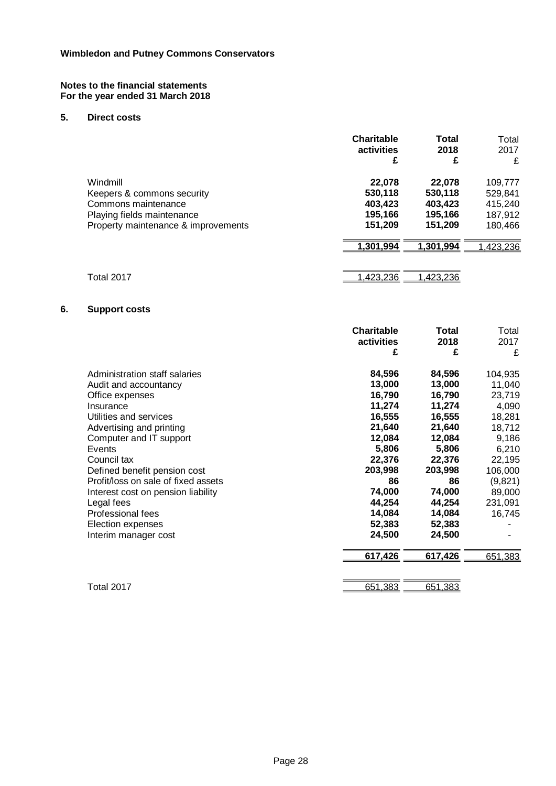Interim manager cost

## **5. Direct costs**

|    |                                     | <b>Charitable</b><br>activities<br>£ | <b>Total</b><br>2018<br>£ | Total<br>2017<br>£ |
|----|-------------------------------------|--------------------------------------|---------------------------|--------------------|
|    | Windmill                            | 22,078                               | 22,078                    | 109,777            |
|    | Keepers & commons security          | 530,118                              | 530,118                   | 529,841            |
|    | Commons maintenance                 | 403,423                              | 403,423                   | 415,240            |
|    | Playing fields maintenance          | 195,166                              | 195,166                   | 187,912            |
|    | Property maintenance & improvements | 151,209                              | 151,209                   | 180,466            |
|    |                                     | 1,301,994                            | 1,301,994                 | ,423,236           |
|    |                                     |                                      |                           |                    |
|    | Total 2017                          | 1,423,236                            | 1,423,236                 |                    |
| 6. | <b>Support costs</b>                |                                      |                           |                    |
|    |                                     | <b>Charitable</b>                    | <b>Total</b>              | Total              |
|    |                                     | activities                           | 2018                      | 2017               |
|    |                                     | £                                    | £                         | £                  |
|    | Administration staff salaries       | 84,596                               | 84,596                    | 104,935            |
|    | Audit and accountancy               | 13,000                               | 13,000                    | 11,040             |
|    | Office expenses                     | 16,790                               | 16,790                    | 23,719             |
|    | Insurance                           | 11,274                               | 11,274                    | 4,090              |
|    | Utilities and services              | 16,555                               | 16,555                    | 18,281             |
|    | Advertising and printing            | 21,640                               | 21,640                    | 18,712             |
|    | Computer and IT support             | 12,084                               | 12,084                    | 9,186              |
|    | Events                              | 5,806                                | 5,806                     | 6,210              |
|    | Council tax                         | 22,376                               | 22,376                    | 22,195             |
|    | Defined benefit pension cost        | 203,998                              | 203,998                   | 106,000            |
|    | Profit/loss on sale of fixed assets | 86                                   | 86                        | (9,821)            |
|    | Interest cost on pension liability  | 74,000                               | 74,000                    | 89,000             |
|    | Legal fees                          | 44,254                               | 44,254                    | 231,091            |

Professional fees **14,084 16,745**<br>
Election expenses **16,745**<br> **16,745**<br> **16,745** Election expenses **52,383 52,383** -

Total 2017 651,383

**617,426 617,426** 651,383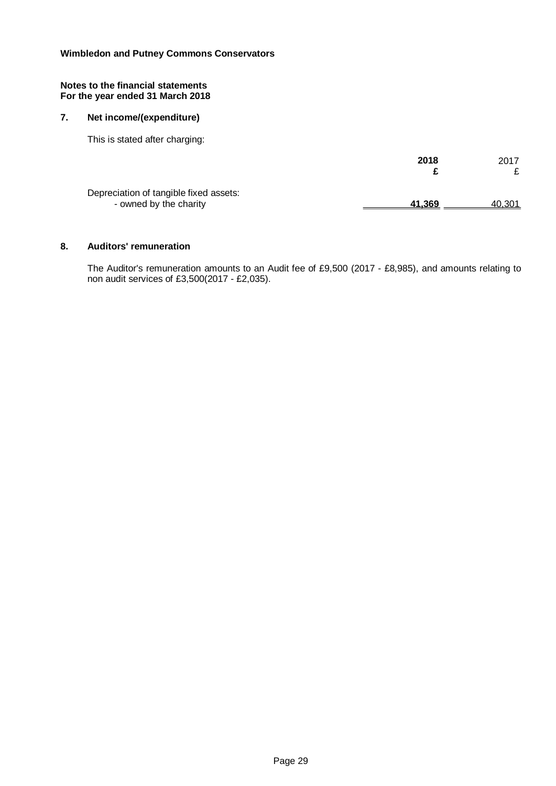#### **Notes to the financial statements For the year ended 31 March 2018**

## **7. Net income/(expenditure)**

This is stated after charging:

|                                                                  | 2018   | 2017          |
|------------------------------------------------------------------|--------|---------------|
| Depreciation of tangible fixed assets:<br>- owned by the charity | 41.369 | <u>40,301</u> |

#### **8. Auditors' remuneration**

The Auditor's remuneration amounts to an Audit fee of £9,500 (2017 - £8,985), and amounts relating to non audit services of £3,500(2017 - £2,035).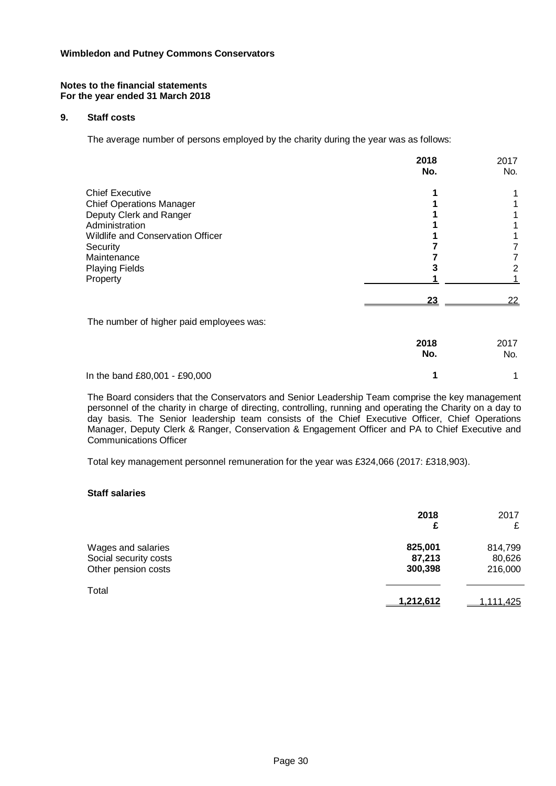#### **Notes to the financial statements For the year ended 31 March 2018**

## **9. Staff costs**

The average number of persons employed by the charity during the year was as follows:

|                                          | 2018<br>No. | 2017<br>No. |
|------------------------------------------|-------------|-------------|
| <b>Chief Executive</b>                   |             |             |
| <b>Chief Operations Manager</b>          |             |             |
| Deputy Clerk and Ranger                  |             |             |
| Administration                           |             |             |
| <b>Wildlife and Conservation Officer</b> |             |             |
| Security                                 |             |             |
| Maintenance                              |             |             |
| <b>Playing Fields</b>                    |             |             |
| Property                                 |             |             |
|                                          | <u>23</u>   | 22          |
| The number of higher paid employees was: |             |             |
|                                          | 2018<br>No. | 2017<br>No. |
| In the band £80,001 - £90,000            |             |             |

The Board considers that the Conservators and Senior Leadership Team comprise the key management personnel of the charity in charge of directing, controlling, running and operating the Charity on a day to day basis. The Senior leadership team consists of the Chief Executive Officer, Chief Operations Manager, Deputy Clerk & Ranger, Conservation & Engagement Officer and PA to Chief Executive and Communications Officer

Total key management personnel remuneration for the year was £324,066 (2017: £318,903).

#### **Staff salaries**

|                                                                    | 2018<br>£                    | 2017<br>£                    |
|--------------------------------------------------------------------|------------------------------|------------------------------|
| Wages and salaries<br>Social security costs<br>Other pension costs | 825,001<br>87,213<br>300,398 | 814,799<br>80,626<br>216,000 |
| Total                                                              | 1,212,612                    | <u>1,111,425</u>             |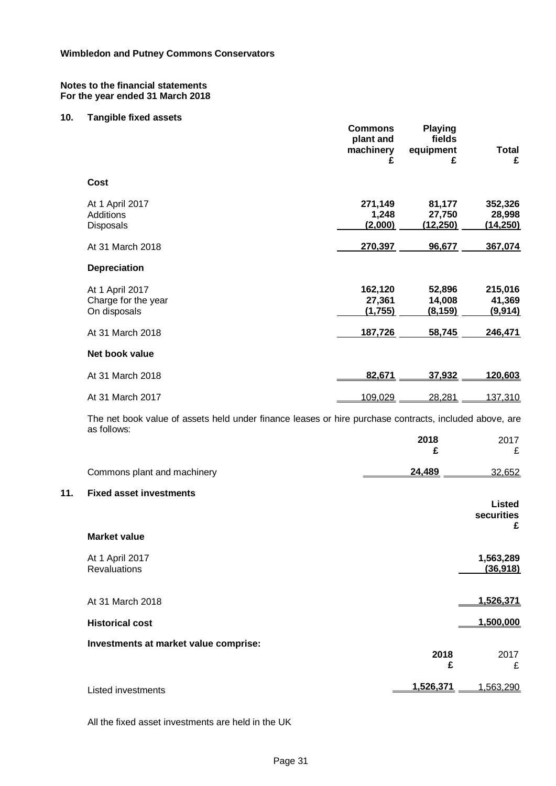## **10. Tangible fixed assets**

**11.** 

|                                                                                                                       | <b>Commons</b><br>plant and<br>machinery<br>£ | <b>Playing</b><br>fields<br>equipment<br>£ | <b>Total</b><br>£              |
|-----------------------------------------------------------------------------------------------------------------------|-----------------------------------------------|--------------------------------------------|--------------------------------|
| Cost                                                                                                                  |                                               |                                            |                                |
| At 1 April 2017<br>Additions<br>Disposals                                                                             | 271,149<br>1,248<br>(2,000)                   | 81,177<br>27,750<br>(12, 250)              | 352,326<br>28,998<br>(14, 250) |
| At 31 March 2018                                                                                                      | 270,397                                       | 96,677                                     | 367,074                        |
| <b>Depreciation</b>                                                                                                   |                                               |                                            |                                |
| At 1 April 2017<br>Charge for the year<br>On disposals                                                                | 162,120<br>27,361<br>(1,755)                  | 52,896<br>14,008<br>(8, 159)               | 215,016<br>41,369<br>(9,914)   |
| At 31 March 2018                                                                                                      | 187,726                                       | 58,745                                     | 246,471                        |
| Net book value                                                                                                        |                                               |                                            |                                |
| At 31 March 2018                                                                                                      | 82,671                                        | 37,932                                     | 120,603                        |
| At 31 March 2017                                                                                                      | 109,029                                       | 28,281                                     | 137,310                        |
| The net book value of assets held under finance leases or hire purchase contracts, included above, are<br>as follows: |                                               |                                            |                                |
|                                                                                                                       |                                               | 2018<br>£                                  | 2017<br>£                      |
| Commons plant and machinery                                                                                           |                                               | 24,489                                     | 32,652                         |
| <b>Fixed asset investments</b>                                                                                        |                                               |                                            | Listed<br>securities<br>£      |
| <b>Market value</b>                                                                                                   |                                               |                                            |                                |
| At 1 April 2017<br><b>Revaluations</b>                                                                                |                                               |                                            | 1,563,289<br>(36,918)          |
| At 31 March 2018                                                                                                      |                                               |                                            | 1,526,371                      |
| <b>Historical cost</b>                                                                                                |                                               |                                            | 1,500,000                      |
| Investments at market value comprise:                                                                                 |                                               | 2018<br>£                                  | 2017<br>£                      |
| <b>Listed investments</b>                                                                                             |                                               | 1,526,371                                  | 1,563,290                      |
|                                                                                                                       |                                               |                                            |                                |

All the fixed asset investments are held in the UK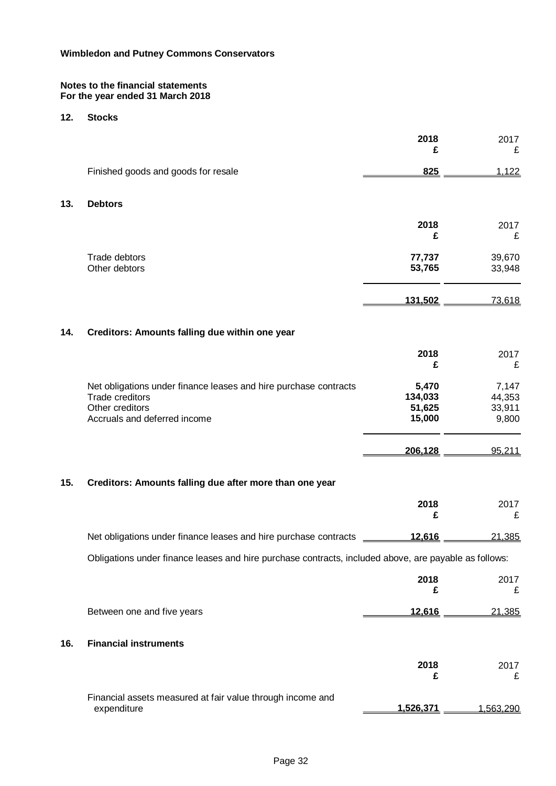## **12. Stocks**

|     |                                                                                                                                               | 2018<br>£                            | 2017<br>£                          |
|-----|-----------------------------------------------------------------------------------------------------------------------------------------------|--------------------------------------|------------------------------------|
|     | Finished goods and goods for resale                                                                                                           | 825                                  | 1,122                              |
| 13. | <b>Debtors</b>                                                                                                                                |                                      |                                    |
|     |                                                                                                                                               | 2018<br>£                            | 2017<br>£                          |
|     | Trade debtors<br>Other debtors                                                                                                                | 77,737<br>53,765                     | 39,670<br>33,948                   |
|     |                                                                                                                                               | 131,502                              | 73,618                             |
| 14. | Creditors: Amounts falling due within one year                                                                                                |                                      |                                    |
|     |                                                                                                                                               | 2018<br>£                            | 2017<br>£                          |
|     | Net obligations under finance leases and hire purchase contracts<br><b>Trade creditors</b><br>Other creditors<br>Accruals and deferred income | 5,470<br>134,033<br>51,625<br>15,000 | 7,147<br>44,353<br>33,911<br>9,800 |
|     |                                                                                                                                               | 206,128                              | 95,211                             |
| 15. | Creditors: Amounts falling due after more than one year                                                                                       |                                      |                                    |
|     |                                                                                                                                               | 2018<br>£                            | 2017<br>£                          |
|     | Net obligations under finance leases and hire purchase contracts                                                                              | 12,616                               | 21,385                             |
|     | Obligations under finance leases and hire purchase contracts, included above, are payable as follows:                                         |                                      |                                    |
|     |                                                                                                                                               | 2018<br>£                            | 2017<br>£                          |
|     | Between one and five years                                                                                                                    | 12,616                               | 21,385                             |
| 16. | <b>Financial instruments</b>                                                                                                                  |                                      |                                    |
|     |                                                                                                                                               | 2018<br>£                            | 2017<br>£                          |
|     | Financial assets measured at fair value through income and<br>expenditure                                                                     | 1,526,371                            | 1,563,290                          |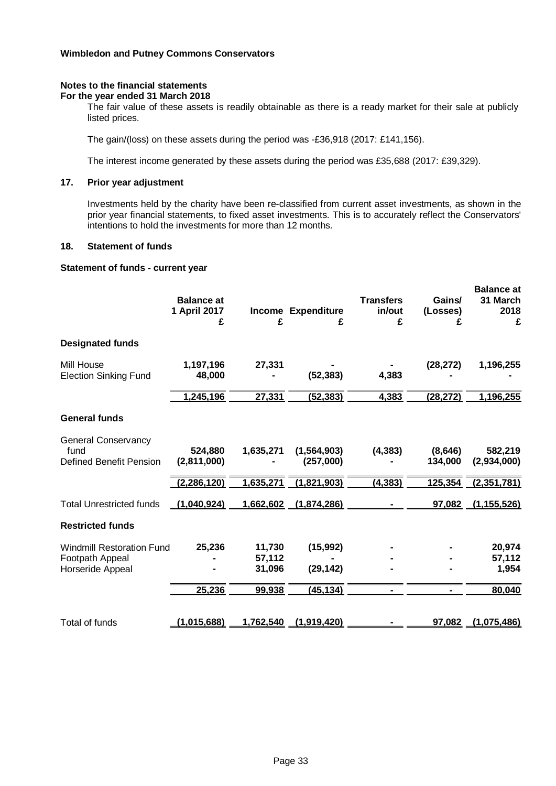#### **Notes to the financial statements For the year ended 31 March 2018**

The fair value of these assets is readily obtainable as there is a ready market for their sale at publicly listed prices.

The gain/(loss) on these assets during the period was -£36,918 (2017: £141,156).

The interest income generated by these assets during the period was £35,688 (2017: £39,329).

## **17. Prior year adjustment**

Investments held by the charity have been re-classified from current asset investments, as shown in the prior year financial statements, to fixed asset investments. This is to accurately reflect the Conservators' intentions to hold the investments for more than 12 months.

#### **18. Statement of funds**

#### **Statement of funds - current year**

|                                                                         | <b>Balance at</b><br>1 April 2017<br>£ | £                          | Income Expenditure<br>£    | <b>Transfers</b><br>in/out<br>£ | Gains/<br>(Losses)<br>£ | <b>Balance</b> at<br>31 March<br>2018<br>£ |
|-------------------------------------------------------------------------|----------------------------------------|----------------------------|----------------------------|---------------------------------|-------------------------|--------------------------------------------|
| <b>Designated funds</b>                                                 |                                        |                            |                            |                                 |                         |                                            |
| Mill House<br><b>Election Sinking Fund</b>                              | 1,197,196<br>48,000                    | 27,331                     | (52, 383)                  | 4,383                           | (28, 272)               | 1,196,255                                  |
|                                                                         | 1,245,196                              | 27,331                     | (52, 383)                  | 4,383                           | (28, 272)               | 1,196,255                                  |
| <b>General funds</b>                                                    |                                        |                            |                            |                                 |                         |                                            |
| <b>General Conservancy</b><br>fund<br><b>Defined Benefit Pension</b>    | 524,880<br>(2,811,000)                 | 1,635,271                  | (1, 564, 903)<br>(257,000) | (4, 383)                        | (8,646)<br>134,000      | 582,219<br>(2,934,000)                     |
|                                                                         | (2, 286, 120)                          | 1,635,271                  | (1,821,903)                | (4, 383)                        | 125,354                 | (2,351,781)                                |
| <b>Total Unrestricted funds</b>                                         | (1,040,924)                            | 1,662,602                  | (1,874,286)                |                                 | 97,082                  | (1, 155, 526)                              |
| <b>Restricted funds</b>                                                 |                                        |                            |                            |                                 |                         |                                            |
| <b>Windmill Restoration Fund</b><br>Footpath Appeal<br>Horseride Appeal | 25,236                                 | 11,730<br>57,112<br>31,096 | (15,992)<br>(29, 142)      |                                 |                         | 20,974<br>57,112<br>1,954                  |
|                                                                         | 25,236                                 | 99,938                     | (45, 134)                  |                                 |                         | 80,040                                     |
| Total of funds                                                          | (1.015.688)                            | 1,762,540                  | (1,919,420)                |                                 | 97,082                  | (1,075,486)                                |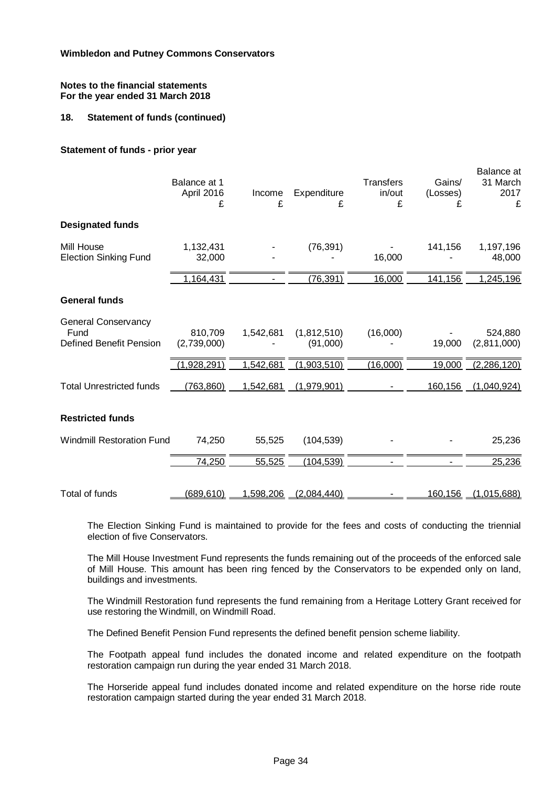## **18. Statement of funds (continued)**

#### **Statement of funds - prior year**

|                                                                      | Balance at 1<br>April 2016<br>£ | Income<br>£ | Expenditure<br>£        | <b>Transfers</b><br>in/out<br>£ | Gains/<br>(Losses)<br>£ | Balance at<br>31 March<br>2017<br>£ |
|----------------------------------------------------------------------|---------------------------------|-------------|-------------------------|---------------------------------|-------------------------|-------------------------------------|
| <b>Designated funds</b>                                              |                                 |             |                         |                                 |                         |                                     |
| Mill House<br><b>Election Sinking Fund</b>                           | 1,132,431<br>32,000             |             | (76, 391)               | 16,000                          | 141,156                 | 1,197,196<br>48,000                 |
|                                                                      | 1,164,431                       |             | (76, 391)               | 16,000                          | 141,156                 | 1,245,196                           |
| <b>General funds</b>                                                 |                                 |             |                         |                                 |                         |                                     |
| <b>General Conservancy</b><br>Fund<br><b>Defined Benefit Pension</b> | 810,709<br>(2,739,000)          | 1,542,681   | (1,812,510)<br>(91,000) | (16,000)                        | 19,000                  | 524,880<br>(2,811,000)              |
|                                                                      | 1,928,291)                      | 1,542,681   | (1,903,510)             | (16,000)                        | 19,000                  | (2, 286, 120)                       |
| <b>Total Unrestricted funds</b>                                      | (763, 860)                      | 1,542,681   | (1,979,901)             |                                 | 160,156                 | (1,040,924)                         |
| <b>Restricted funds</b>                                              |                                 |             |                         |                                 |                         |                                     |
| <b>Windmill Restoration Fund</b>                                     | 74,250                          | 55,525      | (104, 539)              |                                 |                         | 25,236                              |
|                                                                      | 74,250                          | 55,525      | (104, 539)              |                                 |                         | 25,236                              |
| <b>Total of funds</b>                                                | (689,610)                       | 1,598,206   | (2,084,440)             |                                 | 160,156                 | (1,015,688)                         |

The Election Sinking Fund is maintained to provide for the fees and costs of conducting the triennial election of five Conservators.

The Mill House Investment Fund represents the funds remaining out of the proceeds of the enforced sale of Mill House. This amount has been ring fenced by the Conservators to be expended only on land, buildings and investments.

The Windmill Restoration fund represents the fund remaining from a Heritage Lottery Grant received for use restoring the Windmill, on Windmill Road.

The Defined Benefit Pension Fund represents the defined benefit pension scheme liability.

The Footpath appeal fund includes the donated income and related expenditure on the footpath restoration campaign run during the year ended 31 March 2018.

The Horseride appeal fund includes donated income and related expenditure on the horse ride route restoration campaign started during the year ended 31 March 2018.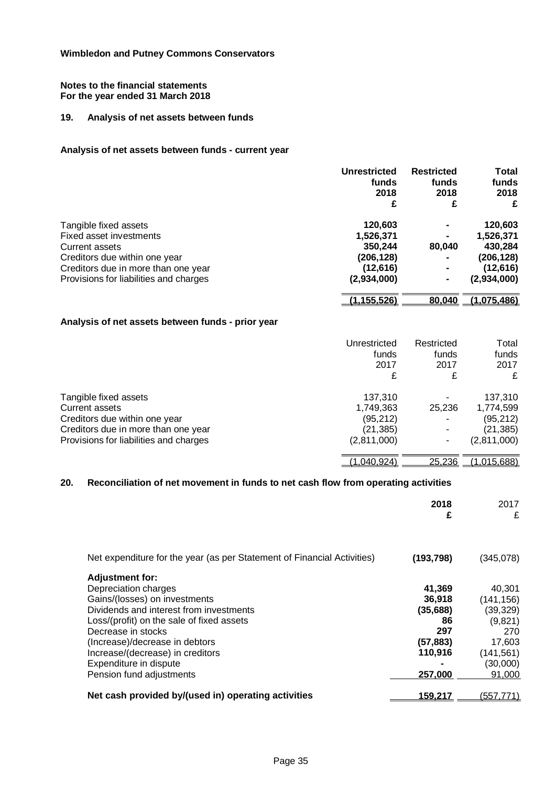## **19. Analysis of net assets between funds**

### **Analysis of net assets between funds - current year**

|                                        | <b>Unrestricted</b> | <b>Restricted</b> | <b>Total</b> |
|----------------------------------------|---------------------|-------------------|--------------|
|                                        | funds               | funds             | funds        |
|                                        | 2018                | 2018              | 2018         |
|                                        | £                   | £                 | £            |
| Tangible fixed assets                  | 120,603             |                   | 120,603      |
| Fixed asset investments                | 1,526,371           |                   | 1,526,371    |
| Current assets                         | 350,244             | 80,040            | 430,284      |
| Creditors due within one year          | (206,128)           |                   | (206,128)    |
| Creditors due in more than one year    | (12, 616)           |                   | (12, 616)    |
| Provisions for liabilities and charges | (2,934,000)         |                   | (2,934,000)  |
|                                        | (1, 155, 526)       | 80,040            | (1,075,486)  |

## **Analysis of net assets between funds - prior year**

|                                        | Unrestricted | Restricted     | Total              |
|----------------------------------------|--------------|----------------|--------------------|
|                                        | funds        | funds          | funds              |
|                                        | 2017         | 2017           | 2017               |
|                                        | £            | £              | £                  |
| Tangible fixed assets                  | 137,310      | 25,236         | 137,310            |
| Current assets                         | 1,749,363    |                | 1,774,599          |
| Creditors due within one year          | (95, 212)    |                | (95, 212)          |
| Creditors due in more than one year    | (21, 385)    |                | (21,385)           |
| Provisions for liabilities and charges | (2,811,000)  |                | (2,811,000)        |
|                                        | ,040,924)    | <u>25,236 </u> | <u>(1,015,688)</u> |

# **20. Reconciliation of net movement in funds to net cash flow from operating activities**

|                                                                         | 2018<br>£  | 2017<br>£  |
|-------------------------------------------------------------------------|------------|------------|
| Net expenditure for the year (as per Statement of Financial Activities) | (193, 798) | (345,078)  |
| <b>Adjustment for:</b>                                                  |            |            |
| Depreciation charges                                                    | 41,369     | 40,301     |
| Gains/(losses) on investments                                           | 36,918     | (141,156)  |
| Dividends and interest from investments                                 | (35, 688)  | (39, 329)  |
| Loss/(profit) on the sale of fixed assets                               | 86         | (9,821)    |
| Decrease in stocks                                                      | 297        | 270        |
| (Increase)/decrease in debtors                                          | (57,883)   | 17,603     |
| Increase/(decrease) in creditors                                        | 110,916    | (141, 561) |
| Expenditure in dispute                                                  |            | (30,000)   |
| Pension fund adjustments                                                | 257,000    | 91,000     |
| Net cash provided by/(used in) operating activities                     | 159,217    | (557,771)  |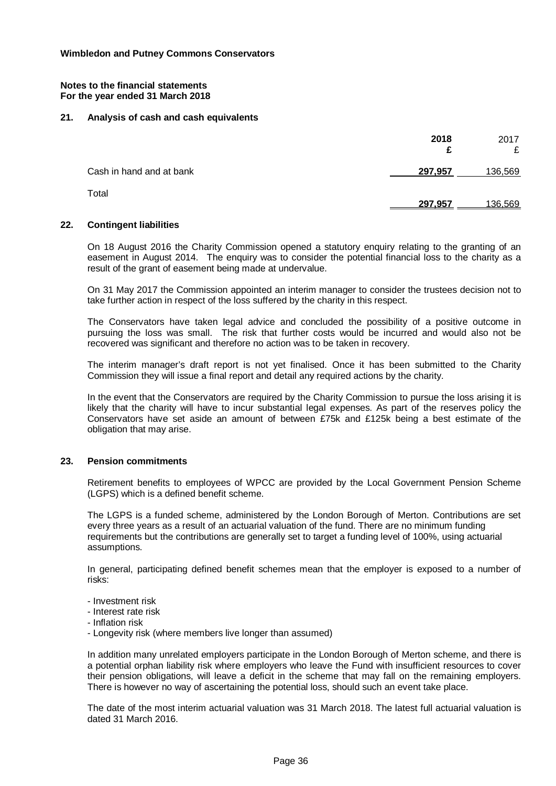#### **21. Analysis of cash and cash equivalents**

|                          | 2018<br>£ | 2017<br>£ |
|--------------------------|-----------|-----------|
| Cash in hand and at bank | 297,957   | 136,569   |
| Total                    | 297,957   | 136.569   |

#### **22. Contingent liabilities**

On 18 August 2016 the Charity Commission opened a statutory enquiry relating to the granting of an easement in August 2014. The enquiry was to consider the potential financial loss to the charity as a result of the grant of easement being made at undervalue.

On 31 May 2017 the Commission appointed an interim manager to consider the trustees decision not to take further action in respect of the loss suffered by the charity in this respect.

The Conservators have taken legal advice and concluded the possibility of a positive outcome in pursuing the loss was small. The risk that further costs would be incurred and would also not be recovered was significant and therefore no action was to be taken in recovery.

The interim manager's draft report is not yet finalised. Once it has been submitted to the Charity Commission they will issue a final report and detail any required actions by the charity.

In the event that the Conservators are required by the Charity Commission to pursue the loss arising it is likely that the charity will have to incur substantial legal expenses. As part of the reserves policy the Conservators have set aside an amount of between £75k and £125k being a best estimate of the obligation that may arise.

#### **23. Pension commitments**

Retirement benefits to employees of WPCC are provided by the Local Government Pension Scheme (LGPS) which is a defined benefit scheme.

The LGPS is a funded scheme, administered by the London Borough of Merton. Contributions are set every three years as a result of an actuarial valuation of the fund. There are no minimum funding requirements but the contributions are generally set to target a funding level of 100%, using actuarial assumptions.

In general, participating defined benefit schemes mean that the employer is exposed to a number of risks:

- Investment risk

- Interest rate risk
- Inflation risk
- Longevity risk (where members live longer than assumed)

In addition many unrelated employers participate in the London Borough of Merton scheme, and there is a potential orphan liability risk where employers who leave the Fund with insufficient resources to cover their pension obligations, will leave a deficit in the scheme that may fall on the remaining employers. There is however no way of ascertaining the potential loss, should such an event take place.

The date of the most interim actuarial valuation was 31 March 2018. The latest full actuarial valuation is dated 31 March 2016.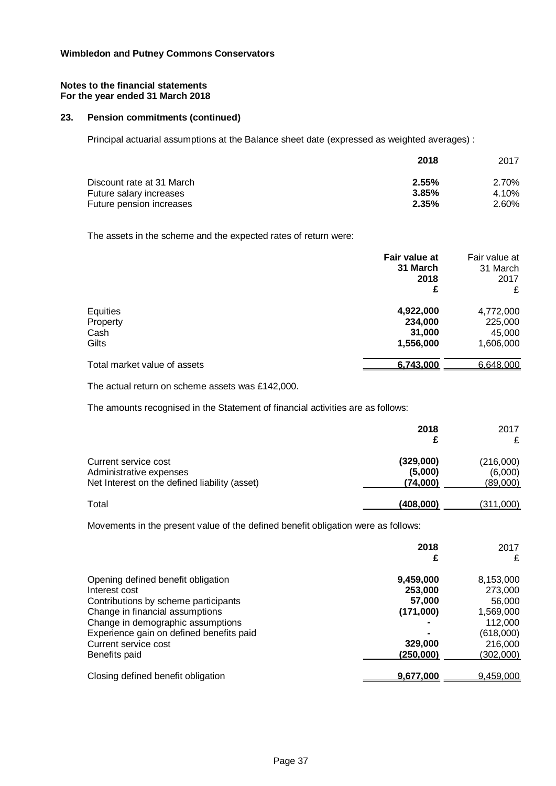#### **Notes to the financial statements For the year ended 31 March 2018**

## **23. Pension commitments (continued)**

Principal actuarial assumptions at the Balance sheet date (expressed as weighted averages) :

|                           | 2018     | 2017  |
|---------------------------|----------|-------|
| Discount rate at 31 March | 2.55%    | 2.70% |
| Future salary increases   | 3.85%    | 4.10% |
| Future pension increases  | $2.35\%$ | 2.60% |

The assets in the scheme and the expected rates of return were:

|                              | Fair value at<br>31 March | Fair value at<br>31 March |
|------------------------------|---------------------------|---------------------------|
|                              | 2018                      | 2017                      |
|                              | £                         | £                         |
| Equities                     | 4,922,000                 | 4,772,000                 |
| Property                     | 234,000                   | 225,000                   |
| Cash                         | 31,000                    | 45,000                    |
| Gilts                        | 1,556,000                 | 1,606,000                 |
| Total market value of assets | 6,743,000                 | 6,648,000                 |

The actual return on scheme assets was £142,000.

The amounts recognised in the Statement of financial activities are as follows:

|                                                                                                  | 2018                             | 2017                             |
|--------------------------------------------------------------------------------------------------|----------------------------------|----------------------------------|
| Current service cost<br>Administrative expenses<br>Net Interest on the defined liability (asset) | (329,000)<br>(5,000)<br>(74,000) | (216,000)<br>(6,000)<br>(89,000) |
| Total                                                                                            | (408,000)                        | <u>(311,000)</u>                 |

Movements in the present value of the defined benefit obligation were as follows:

|                                          | 2018<br>£ | 2017<br>£ |
|------------------------------------------|-----------|-----------|
| Opening defined benefit obligation       | 9,459,000 | 8,153,000 |
| Interest cost                            | 253,000   | 273,000   |
| Contributions by scheme participants     | 57.000    | 56,000    |
| Change in financial assumptions          | (171,000) | 1,569,000 |
| Change in demographic assumptions        |           | 112,000   |
| Experience gain on defined benefits paid |           | (618,000) |
| Current service cost                     | 329,000   | 216,000   |
| Benefits paid                            | (250,000) | (302,000) |
| Closing defined benefit obligation       | 9,677,000 | 9,459,000 |